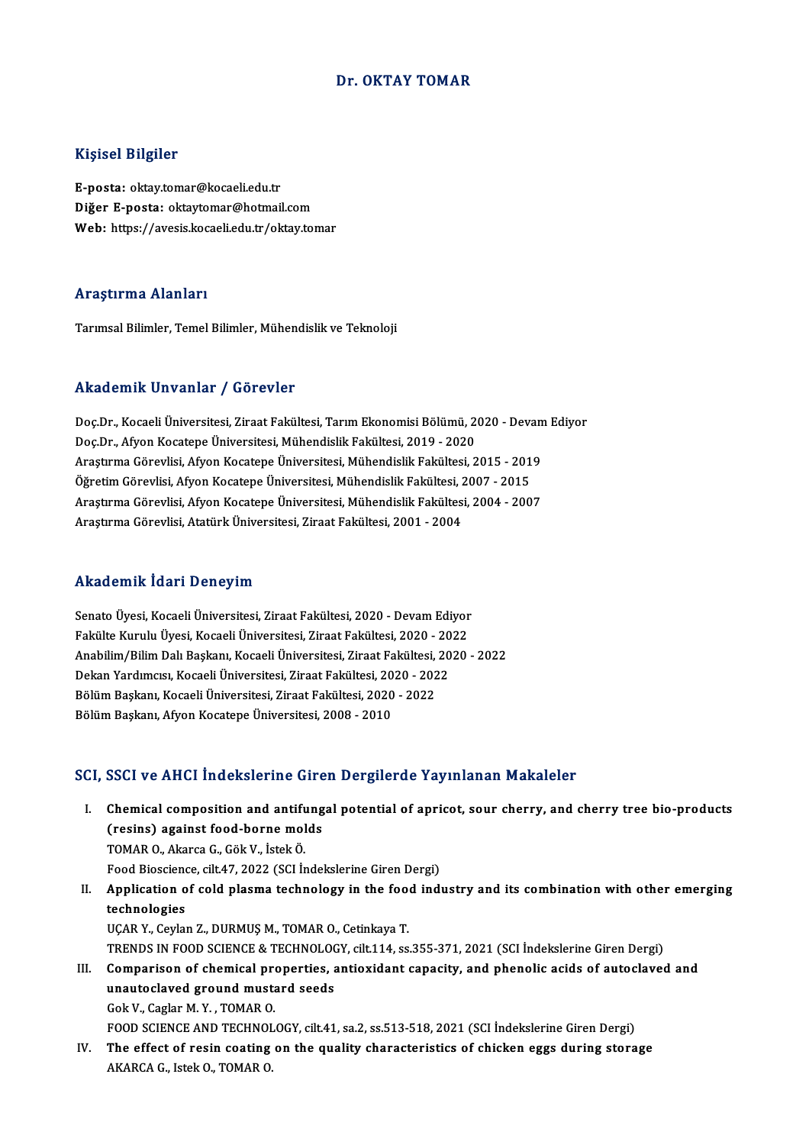#### Dr. OKTAY TOMAR

#### Kişisel Bilgiler

E-posta: oktay.tomar@kocaeli.edu.tr Diğer E-posta: oktaytomar@hotmail.com Web: https://avesis.kocaeli.edu.tr/oktay.tomar

#### Araştırma Alanları

Tarımsal Bilimler, Temel Bilimler, Mühendislik ve Teknoloji

#### Akademik Unvanlar / Görevler

Akademik Unvanlar / Görevler<br>Doç.Dr., Kocaeli Üniversitesi, Ziraat Fakültesi, Tarım Ekonomisi Bölümü, 2020 - Devam Ediyor<br>Dos.Dr., Afron Kosatana Üniversitesi, Mühandislik Fakültesi, 2019, 2020 rındu olirin "Oli valitar" / "dörevter"<br>Doç.Dr., Kocaeli Üniversitesi, Ziraat Fakültesi, Tarım Ekonomisi Bölümü, 2<br>Doç.Dr., Afyon Kocatepe Üniversitesi, Mühendislik Fakültesi, 2019 - 2020<br>Arastuma Göravlisi, Afyan Kasatana Doç.Dr., Kocaeli Üniversitesi, Ziraat Fakültesi, Tarım Ekonomisi Bölümü, 2020 - Devan<br>Doç.Dr., Afyon Kocatepe Üniversitesi, Mühendislik Fakültesi, 2019 - 2020<br>Araştırma Görevlisi, Afyon Kocatepe Üniversitesi, Mühendislik F Doç.Dr., Afyon Kocatepe Üniversitesi, Mühendislik Fakültesi, 2019 - 2020<br>Araştırma Görevlisi, Afyon Kocatepe Üniversitesi, Mühendislik Fakültesi, 2015 - 201<br>Öğretim Görevlisi, Afyon Kocatepe Üniversitesi, Mühendislik Fakül Araştırma Görevlisi, Afyon Kocatepe Üniversitesi, Mühendislik Fakültesi, 2015 - 2019<br>Öğretim Görevlisi, Afyon Kocatepe Üniversitesi, Mühendislik Fakültesi, 2007 - 2015<br>Araştırma Görevlisi, Afyon Kocatepe Üniversitesi, Mühe Öğretim Görevlisi, Afyon Kocatepe Üniversitesi, Mühendislik Fakültesi, 2<br>Araştırma Görevlisi, Afyon Kocatepe Üniversitesi, Mühendislik Fakültes<br>Araştırma Görevlisi, Atatürk Üniversitesi, Ziraat Fakültesi, 2001 - 2004 Araştırma Görevlisi, Atatürk Üniversitesi, Ziraat Fakültesi, 2001 - 2004<br>Akademik İdari Deneyim

Akademik İdari Deneyim<br>Senato Üyesi, Kocaeli Üniversitesi, Ziraat Fakültesi, 2020 - Devam Ediyor<br>Fakülte Kurulu Üyesi, Kosaeli Üniversitesi, Ziraat Fakültesi, 2020 - 2022 Fakülteman, Tuura Deneyam<br>Senato Üyesi, Kocaeli Üniversitesi, Ziraat Fakültesi, 2020 - Devam Ediyor<br>Fakülte Kurulu Üyesi, Kocaeli Üniversitesi, Ziraat Fakültesi, 2020 - 2022<br>Anabilim (Bilim Dalı Baskanı, Kocaeli Üniversite Senato Üyesi, Kocaeli Üniversitesi, Ziraat Fakültesi, 2020 - Devam Ediyor<br>Fakülte Kurulu Üyesi, Kocaeli Üniversitesi, Ziraat Fakültesi, 2020 - 2022<br>Anabilim/Bilim Dalı Başkanı, Kocaeli Üniversitesi, Ziraat Fakültesi, 2020 Fakülte Kurulu Üyesi, Kocaeli Üniversitesi, Ziraat Fakültesi, 2020 - 20<br>Anabilim/Bilim Dalı Başkanı, Kocaeli Üniversitesi, Ziraat Fakültesi, 20<br>Dekan Yardımcısı, Kocaeli Üniversitesi, Ziraat Fakültesi, 2020 - 2022<br>Pölüm Ba Anabilim/Bilim Dalı Başkanı, Kocaeli Üniversitesi, Ziraat Fakültesi,<br>Dekan Yardımcısı, Kocaeli Üniversitesi, Ziraat Fakültesi, 2020 - 202<br>Bölüm Başkanı, Kocaeli Üniversitesi, Ziraat Fakültesi, 2020 - 2022<br>Bölüm Başkanı, Af Dekan Yardımcısı, Kocaeli Üniversitesi, Ziraat Fakültesi, 2020 - 2022<br>Bölüm Başkanı, Kocaeli Üniversitesi, Ziraat Fakültesi, 2020 - 2022<br>Bölüm Başkanı, Afyon Kocatepe Üniversitesi, 2008 - 2010

#### SCI, SSCI ve AHCI İndekslerine Giren Dergilerde Yayınlanan Makaleler

- I. SSCI ve AHCI Indekslerine Giren Dergilerde Yayınlanan Makaleler<br>I. Chemical composition and antifungal potential of apricot, sour cherry, and cherry tree bio-products<br>(nesing) exainst food borne malds Chemical composition and antifung<br>(resins) against food-borne molds<br>TOMAR O. Akarsa C. Gök V. İstek Ö. Chemical composition and antiful<br>(resins) against food-borne mol<br>TOMAR O., Akarca G., Gök V., İstek Ö.<br>Food Biosciance, silt 47, 2022 (SCL İr (resins) against food-borne molds<br>TOMAR O., Akarca G., Gök V., İstek Ö.<br>Food Bioscience, cilt.47, 2022 (SCI İndekslerine Giren Dergi)<br>Annligation of sold plasma teshnelogu in the food indi
- TOMAR O., Akarca G., Gök V., İstek Ö.<br>Food Bioscience, cilt.47, 2022 (SCI İndekslerine Giren Dergi)<br>II. Application of cold plasma technology in the food industry and its combination with other emerging<br>technologies Food Biosciene<br><mark>Application o</mark><br>technologies<br>UCAP Y. Corlet UÇAR Y., Ceylan Z., DURMUŞ M., TOMAR O., Cetinkaya T. TRENDS IN FOOD SCIENCE & TECHNOLOGY, cilt.114, ss.355-371, 2021 (SCI İndekslerine Giren Dergi)
- III. Comparison of chemical properties, antioxidant capacity, and phenolic acids of autoclaved and TRENDS IN FOOD SCIENCE & TECHNOLOON<br>Comparison of chemical properties, a<br>unautoclaved ground mustard seeds Comparison of chemical pro<br>unautoclaved ground musta<br>Gok V., Caglar M. Y. , TOMAR O.<br>FOOD SCIENCE AND TECHNOL Gok V., Caglar M. Y. , TOMAR O.<br>FOOD SCIENCE AND TECHNOLOGY, cilt.41, sa.2, ss.513-518, 2021 (SCI İndekslerine Giren Dergi) Gok V., Caglar M. Y. , TOMAR O.<br>FOOD SCIENCE AND TECHNOLOGY, cilt.41, sa.2, ss.513-518, 2021 (SCI Indekslerine Giren Dergi)<br>IV. The effect of resin coating on the quality characteristics of chicken eggs during storage<br>AFAR
- FOOD SCIENCE AND TECHNO<mark>I</mark><br>The effect of resin coating<br>AKARCA G., Istek O., TOMAR O.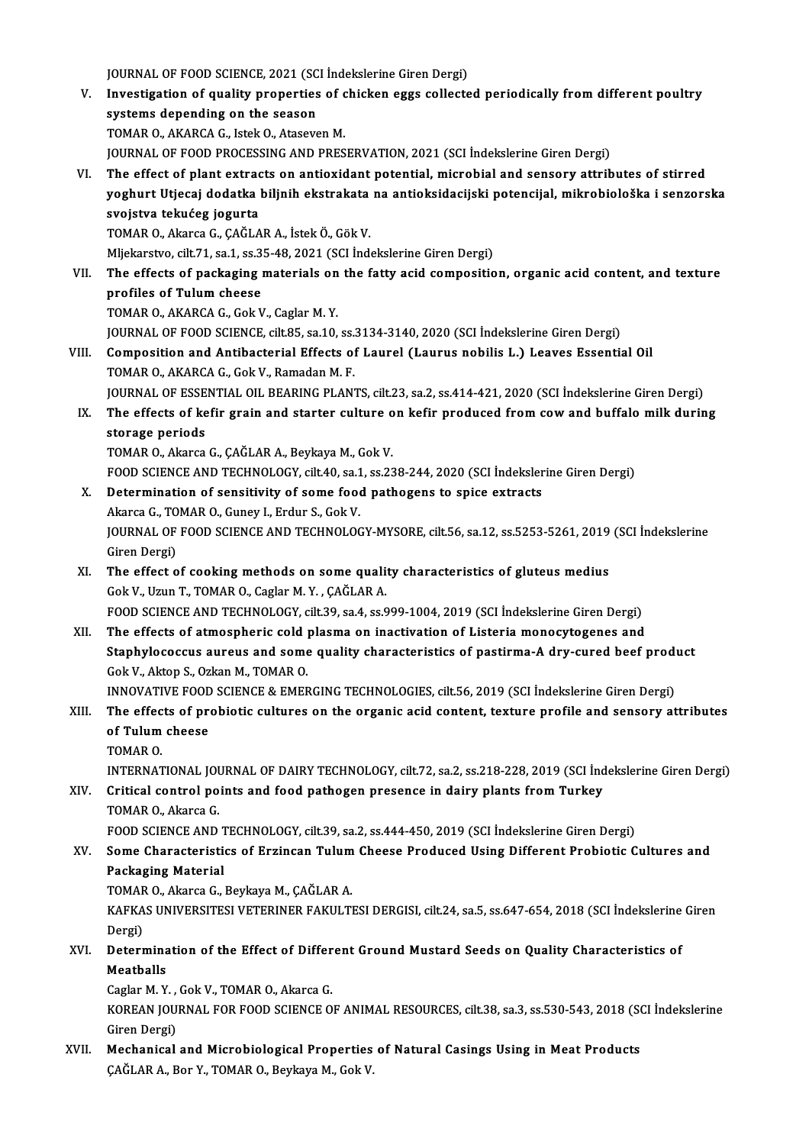JOURNAL OF FOOD SCIENCE, 2021 (SCI İndekslerine Giren Dergi)<br>Investigation of quality proporties of shielten egge selleste

V. Investigation of quality properties of chicken eggs collected periodically from different poultry<br>systems depending on the season JOURNAL OF FOOD SCIENCE, 2021 (SC)<br>Investigation of quality properties<br>systems depending on the season<br>TOMAR Q AKARCA G, latels Q, Atasays TOMAR O., AKARCA G., Istek O., Ataseven M. JOURNAL OF FOOD PROCESSING AND PRESERVATION, 2021 (SCI İndekslerine Giren Dergi) VI. The effect of plant extracts on antioxidant potential,microbial and sensory attributes of stirred JOURNAL OF FOOD PROCESSING AND PRESERVATION, 2021 (SCI İndekslerine Giren Dergi)<br>The effect of plant extracts on antioxidant potential, microbial and sensory attributes of stirred<br>yoghurt Utjecaj dodatka biljnih ekstrakata The effect of plant extrac<br>yoghurt Utjecaj dodatka<br>svojstva tekućeg jogurta<br>TOMAR O. Akarsa G. GAČLA yoghurt Utjecaj dodatka biljnih ekstrakata<br>svojstva tekućeg jogurta<br>TOMAR 0., Akarca G., ÇAĞLAR A., İstek Ö., Gök V.<br>Mliekarstva silt 71 sa 1 sa 25 48 2021 (SCLİnd svojstva tekućeg jogurta<br>TOMAR O., Akarca G., ÇAĞLAR A., İstek Ö., Gök V.<br>Mljekarstvo, cilt.71, sa.1, ss.35-48, 2021 (SCI İndekslerine Giren Dergi)<br>The effects of naskaging materials en the fatty asid compositio

TOMAR O., Akarca G., ÇAĞLAR A., İstek Ö., Gök V.<br>Mljekarstvo, cilt.71, sa.1, ss.35-48, 2021 (SCI İndekslerine Giren Dergi)<br>VII. The effects of packaging materials on the fatty acid composition, organic acid content, an Mljekarstvo, cilt.71, sa.1, ss.3<br>The effects of packaging<br>profiles of Tulum cheese<br>TOMAR O AKARCA C Colt.1 The effects of packaging materials on<br>profiles of Tulum cheese<br>TOMAR O., AKARCA G., Gok V., Caglar M. Y.<br>JOUPNAL OF FOOD SCIENCE sitt of sea 10. profiles of Tulum cheese<br>TOMAR O., AKARCA G., Gok V., Caglar M. Y.<br>JOURNAL OF FOOD SCIENCE, cilt.85, sa.10, ss.3134-3140, 2020 (SCI İndekslerine Giren Dergi)<br>Composition and Antibasterial Effects of Laural (Laurus pobilis

- TOMAR O., AKARCA G., Gok V., Caglar M. Y.<br>JOURNAL OF FOOD SCIENCE, cilt.85, sa.10, ss.3134-3140, 2020 (SCI Indekslerine Giren Dergi)<br>VIII. Composition and Antibacterial Effects of Laurel (Laurus nobilis L.) Leaves Essentia JOURNAL OF FOOD SCIENCE, cilt.85, sa.10, ss.<br>Composition and Antibacterial Effects of<br>TOMAR O., AKARCA G., Gok V., Ramadan M. F.<br>JOURNAL OF ESSENTIAL OU, PEARING BLAN Composition and Antibacterial Effects of Laurel (Laurus nobilis L.) Leaves Essential Oil<br>TOMAR O., AKARCA G., Gok V., Ramadan M. F.<br>JOURNAL OF ESSENTIAL OIL BEARING PLANTS, cilt.23, sa.2, ss.414-421, 2020 (SCI İndekslerine
	- IX. The effects of kefir grain and starter culture on kefir produced from cow and buffalo milk during storage periods **JOURNAL OF ESSE<br>The effects of ke<br>storage periods<br>TOMAP O Almres**

TOMAR O., Akarca G., ÇAĞLAR A., Beykaya M., Gok V. storage periods<br>TOMAR O., Akarca G., ÇAĞLAR A., Beykaya M., Gok V.<br>FOOD SCIENCE AND TECHNOLOGY, cilt.40, sa.1, ss.238-244, 2020 (SCI İndekslerine Giren Dergi)<br>Determination of sonsitivity of some food nathogens to spise ex

### X. Determination of sensitivity of some food pathogens to spice extracts FOOD SCIENCE AND TECHNOLOGY, cilt.40, sa.1<br>Determination of sensitivity of some food<br>Akarca G., TOMAR O., Guney I., Erdur S., Gok V.<br>JOUPMAL OF FOOD SCIENCE AND TECHNOLOG Determination of sensitivity of some food pathogens to spice extracts<br>Akarca G., TOMAR O., Guney I., Erdur S., Gok V.<br>JOURNAL OF FOOD SCIENCE AND TECHNOLOGY-MYSORE, cilt.56, sa.12, ss.5253-5261, 2019 (SCI İndekslerine<br>Ciro Akarca G., TO<br>JOURNAL OF<br>Giren Dergi)<br>The offect o JOURNAL OF FOOD SCIENCE AND TECHNOLOGY-MYSORE, cilt.56, sa.12, ss.5253-5261, 2019<br>Giren Dergi)<br>XI. The effect of cooking methods on some quality characteristics of gluteus medius<br>Cok V. Uzun T. TOMAR O. Corlan M. X. CAČLAR

Giren Dergi)<br>XI. The effect of cooking methods on some quality characteristics of gluteus medius<br>Gok V., Uzun T., TOMAR O., Caglar M.Y., CAĞLAR A.

FOODSCIENCEANDTECHNOLOGY, cilt.39, sa.4, ss.999-1004,2019 (SCI İndekslerineGirenDergi)

Gok V., Uzun T., TOMAR O., Caglar M. Y., ÇAĞLAR A.<br>FOOD SCIENCE AND TECHNOLOGY, cilt.39, sa.4, ss.999-1004, 2019 (SCI İndekslerine Giren Dergi)<br>XII. The effects of atmospheric cold plasma on inactivation of Listeria monocy Staphylococcus aureus and some quality characteristics of pastirma-A dry-cured beef product Gok V., Aktop S., Ozkan M., TOMAR O. The effects of atmospheric cold <br>Staphylococcus aureus and some<br>Gok V., Aktop S., Ozkan M., TOMAR O.<br>INNOVATIVE FOOD SCIENCE & EMER Staphylococcus aureus and some quality characteristics of pastirma-A dry-cured beef production of the Section<br>Gok V., Aktop S., Ozkan M., TOMAR O.<br>INNOVATIVE FOOD SCIENCE & EMERGING TECHNOLOGIES, cilt.56, 2019 (SCI İndeksl

## XIII. The effects of probiotic cultures on the organic acid content, texture profile and sensory attributes of Tulum cheese INNOVATIVE FOOD<br>The effects of pro<br>of Tulum cheese<br>TOMAR O of Tulum cheese<br>TOMAR 0.<br>INTERNATIONAL JOURNAL OF DAIRY TECHNOLOGY, cilt.72, sa.2, ss.218-228, 2019 (SCI İndekslerine Giren Dergi)<br>Critical cantral nainta and faad nathagan prasanga in daiuv planta fram Turkay.

TOMAR<sub>O.</sub>

## XIV. Critical control points and food pathogen presence in dairy plants from Turkey<br>TOMAR O., Akarca G. INTERNATIONAL JOU<br>Critical control po<br>TOMAR O., Akarca G.<br>FOOD SCIENCE AND Critical control points and food pathogen presence in dairy plants from Turkey<br>TOMAR O., Akarca G.<br>FOOD SCIENCE AND TECHNOLOGY, cilt.39, sa.2, ss.444-450, 2019 (SCI İndekslerine Giren Dergi)<br>Some Characteristics of Erginso

## XV. Some Characteristics of Erzincan Tulum Cheese Produced Using Different Probiotic Cultures and<br>Packaging Material FOOD SCIENCE AND 1<br>Some Characteristi<br>Packaging Material<br>TOMAR O Alsree C Some Characteristics of Erzincan Tulum<br>Packaging Material<br>TOMAR O., Akarca G., Beykaya M., ÇAĞLAR A.<br>KARKAS UNIVERSITESI VETERINER FAKULTI

KAFKAS UNIVERSITESI VETERINER FAKULTESI DERGISI, cilt.24, sa.5, ss.647-654, 2018 (SCI İndekslerine Giren<br>Dergi) TOMAF<br>KAFKA<br>Dergi)<br>Deterr KAFKAS UNIVERSITESI VETERINER FAKULTESI DERGISI, cilt.24, sa.5, ss.647-654, 2018 (SCI İndekslerine<br>Dergi)<br>XVI. Determination of the Effect of Different Ground Mustard Seeds on Quality Characteristics of

Dergi)<br><mark>Determina</mark><br>Meatballs<br>Cegler M. V Determination of the Effect of Differ<br>Meatballs<br>Caglar M.Y., Gok V., TOMAR O., Akarca G.<br>KOREAN JOURNAL FOR FOOD SCIENCE O

Meatballs<br>Caglar M. Y. , Gok V., TOMAR O., Akarca G.<br>KOREAN JOURNAL FOR FOOD SCIENCE OF ANIMAL RESOURCES, cilt.38, sa.3, ss.530-543, 2018 (SCI İndekslerine<br>Ciron Dergi) Caglar M. Y. ,<br>KOREAN JOU<br>Giren Dergi)<br>Mechanical KOREAN JOURNAL FOR FOOD SCIENCE OF ANIMAL RESOURCES, cilt.38, sa.3, ss.530-543, 2018 (SCHAP .)<br>Giren Dergi)<br>XVII. Mechanical and Microbiological Properties of Natural Casings Using in Meat Products

Giren Dergi)<br>XVII. Mechanical and Microbiological Properties of Natural Casings Using in Meat Products<br>CAĞLAR A., Bor Y., TOMAR O., Beykaya M., Gok V.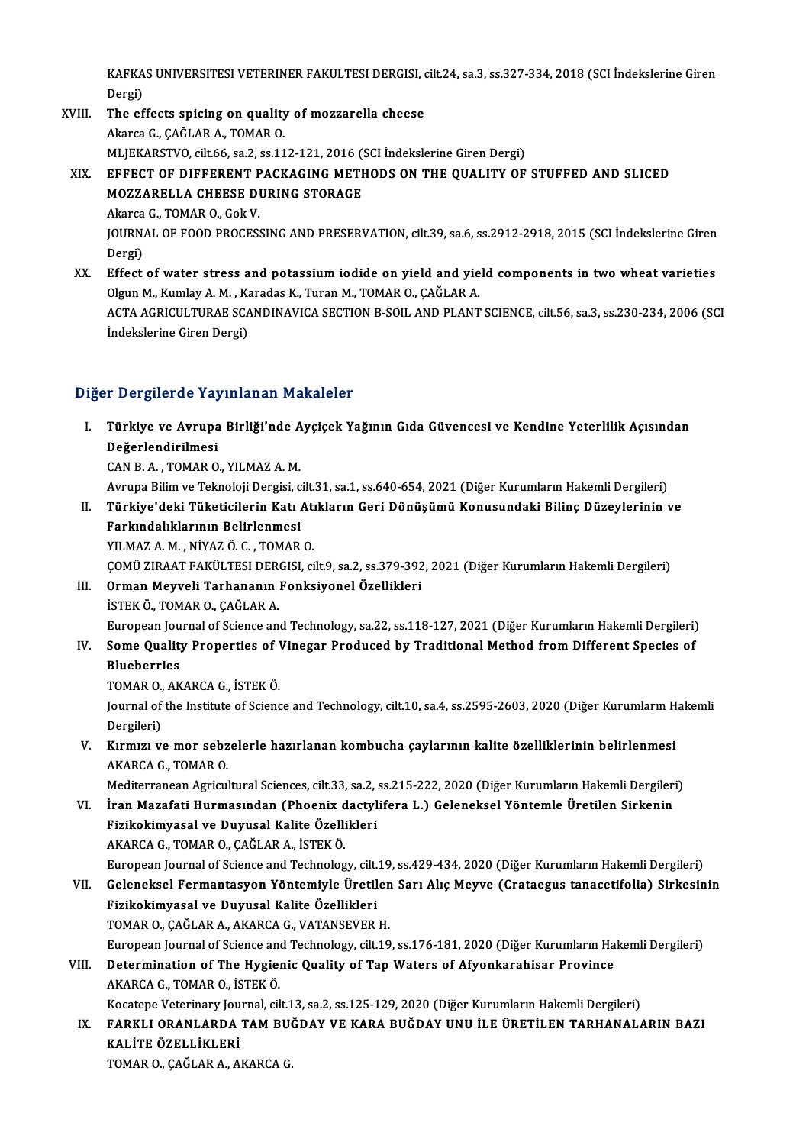KAFKAS UNIVERSITESI VETERINER FAKULTESI DERGISI, cilt.24, sa.3, ss.327-334, 2018 (SCI İndekslerine Giren<br>Persi KAFKA<br>Dergi)<br>The ef KAFKAS UNIVERSITESI VETERINER FAKULTESI DERGISI, o<br>Dergi)<br>XVIII. The effects spicing on quality of mozzarella cheese

- Dergi)<br>The effects spicing on quality of mozzarella cheese<br>Akarca G., ÇAĞLAR A., TOMAR 0. MLJEKARSTVO, cilt.66, sa.2, ss.112-121, 2016 (SCI İndekslerine Giren Dergi) XIX. EFFECT OF DIFFERENT PACKAGING METHODS ON THE QUALITY OF STUFFED AND SLICED
	- MLJEKARSTVO, cilt.66, sa.2, ss.112-121, 2016 (1998)<br>EFFECT OF DIFFERENT PACKAGING METH<br>MOZZARELLA CHEESE DURING STORAGE MOZZARELLA CHEESE DURING STORAGE<br>Akarca G., TOMAR O., Gok V. MOZZARELLA CHEESE DURING STORAGE<br>Akarca G., TOMAR O., Gok V.<br>JOURNAL OF FOOD PROCESSING AND PRESERVATION, cilt.39, sa.6, ss.2912-2918, 2015 (SCI İndekslerine Giren<br>Persi)

Akarca<br>JOURN<br>Dergi)<br>Effect

JOURNAL OF FOOD PROCESSING AND PRESERVATION, cilt.39, sa.6, ss.2912-2918, 2015 (SCI Indekslerine Giren<br>Dergi)<br>XX. Effect of water stress and potassium iodide on yield and yield components in two wheat varieties<br>Olgun M. Ku Dergi)<br>Effect of water stress and potassium iodide on yield and yie<br>Olgun M., Kumlay A. M. , Karadas K., Turan M., TOMAR O., ÇAĞLAR A.<br>ACTA ACRICULTURAE SCANDINAVICA SECTION P SOU, AND PLANT Olgun M., Kumlay A. M. , Karadas K., Turan M., TOMAR O., ÇAĞLAR A.<br>ACTA AGRICULTURAE SCANDINAVICA SECTION B-SOIL AND PLANT SCIENCE, cilt.56, sa.3, ss.230-234, 2006 (SCI İndekslerine Giren Dergi)

#### Diğer Dergilerde Yayınlanan Makaleler

iğer Dergilerde Yayınlanan Makaleler<br>I. Türkiye ve Avrupa Birliği'nde Ayçiçek Yağının Gıda Güvencesi ve Kendine Yeterlilik Açısından<br>Reğerlendirilmesi n Bergherde Ta<sub>j</sub><br>Türkiye ve Avrupa<br>Değerlendirilmesi<br>CAN B A - TOMAR O Türkiye ve Avrupa Birliği'nde A<br>Değerlendirilmesi<br>CAN B. A. , TOMAR O., YILMAZ A. M.<br>Arruna Bilim ve Teknoloji Dergisi s

Değerlendirilmesi<br>CAN B. A. , TOMAR O., YILMAZ A. M.<br>Avrupa Bilim ve Teknoloji Dergisi, cilt.31, sa.1, ss.640-654, 2021 (Diğer Kurumların Hakemli Dergileri)

CAN B. A. , TOMAR O., YILMAZ A. M.<br>Avrupa Bilim ve Teknoloji Dergisi, cilt.31, sa.1, ss.640-654, 2021 (Diğer Kurumların Hakemli Dergileri)<br>II. Türkiye'deki Tüketicilerin Katı Atıkların Geri Dönüşümü Konusundaki Bilinç Avrupa Bilim ve Teknoloji Dergisi, c<br><mark>Türkiye'deki Tüketicilerin Katı</mark><br>Farkındalıklarının Belirlenmesi<br><sup>VII MAZAM NİVAZÖC TOMAP</sub></sup> Türkiye'deki Tüketicilerin Katı Atı<br>Farkındalıklarının Belirlenmesi<br>YILMAZ A. M. , NİYAZ Ö. C. , TOMAR O.<br>COMÜ ZIRAAT FAKÜLTESI DERCISL Gİ Farkındalıklarının Belirlenmesi<br>YILMAZ A. M. , NİYAZ Ö. C. , TOMAR O.<br>ÇOMÜ ZIRAAT FAKÜLTESI DERGISI, cilt.9, sa.2, ss.379-392, 2021 (Diğer Kurumların Hakemli Dergileri)<br>Orman Mauyeli Tarbananın Fanksiyonel Özellikleri

## YILMAZ A. M. , NİYAZ Ö. C. , TOMAR O.<br>ÇOMÜ ZIRAAT FAKÜLTESI DERGISI, cilt.9, sa.2, ss.379-392<br>III. Orman Meyveli Tarhananın Fonksiyonel Özellikleri<br>İSTEK Ö., TOMAR O., CAĞLAR A. ÇOMÜ ZIRAAT FAKÜLTESI DER<br>Orman Meyveli Tarhananın<br>İSTEK Ö., TOMAR O., ÇAĞLAR A.<br>Euronean Journal of Science an

European Journal of Science and Technology, sa.22, ss.118-127, 2021 (Diğer Kurumların Hakemli Dergileri)

- ISTEK Ö., TOMAR O., ÇAĞLAR A.<br>European Journal of Science and Technology, sa.22, ss.118-127, 2021 (Diğer Kurumların Hakemli Dergileri)<br>IV. Some Quality Properties of Vinegar Produced by Traditional Method from Different Sp European Jou<br>Some Qualit<br>Blueberries<br>TOMAR O AK Some Quality Properties of <mark>V<br>Blueberries</mark><br>TOMAR O., AKARCA G., İSTEK Ö.<br>Journal of the Institute of Ssiens
	-

Blueberries<br>TOMAR O., AKARCA G., İSTEK Ö.<br>Journal of the Institute of Science and Technology, cilt.10, sa.4, ss.2595-2603, 2020 (Diğer Kurumların Hakemli TOMAR O.,<br>Journal of<br>Dergileri)<br>Kumun v Journal of the Institute of Science and Technology, cilt.10, sa.4, ss.2595-2603, 2020 (Diğer Kurumların H<br>Dergileri)<br>V. Kırmızı ve mor sebzelerle hazırlanan kombucha çaylarının kalite özelliklerinin belirlenmesi<br>AKAPCA C.

Dergileri)<br><mark>Kırmızı ve mor sebz</mark><br>AKARCA G., TOMAR O.<br>Mediterranean Asricul Kırmızı ve mor sebzelerle hazırlanan kombucha çaylarının kalite özelliklerinin belirlenmesi<br>AKARCA G., TOMAR O.<br>Mediterranean Agricultural Sciences, cilt.33, sa.2, ss.215-222, 2020 (Diğer Kurumların Hakemli Dergileri)<br>İran

AKARCA G., TOMAR O.<br>Mediterranean Agricultural Sciences, cilt.33, sa.2, ss.215-222, 2020 (Diğer Kurumların Hakemli Dergileri)<br>VI. İran Mazafati Hurmasından (Phoenix dactylifera L.) Geleneksel Yöntemle Üretilen Sirkenin

Fizikokimyasal ve Duyusal Kalite Özellikleri AKARCAG.,TOMARO.,ÇAĞLARA., İSTEKÖ.

- European Journal of Science and Technology, cilt.19, ss.429-434, 2020 (Diğer Kurumların Hakemli Dergileri)
- AKARCA G., TOMAR O., ÇAĞLAR A., İSTEK Ö.<br>European Journal of Science and Technology, cilt.19, ss.429-434, 2020 (Diğer Kurumların Hakemli Dergileri)<br>VII. Geleneksel Fermantasyon Yöntemiyle Üretilen Sarı Alıç Meyve (Crat European Journal of Science and Technology, cilt.<br>Geleneksel Fermantasyon Yöntemiyle Üretil<br>Fizikokimyasal ve Duyusal Kalite Özellikleri<br>TOMAR O. CAČLAR A. AKARCA G. VATANSEVER Geleneksel Fermantasyon Yöntemiyle Üretilen<br>Fizikokimyasal ve Duyusal Kalite Özellikleri<br>TOMAR O., ÇAĞLAR A., AKARCA G., VATANSEVER H.<br>European Journal of Scionee and Technology, silt 10 Fizikokimyasal ve Duyusal Kalite Özellikleri<br>TOMAR O., ÇAĞLAR A., AKARCA G., VATANSEVER H.<br>European Journal of Science and Technology, cilt.19, ss.176-181, 2020 (Diğer Kurumların Hakemli Dergileri)<br>Determination of The Hyg

## TOMAR O., ÇAĞLAR A., AKARCA G., VATANSEVER H.<br>European Journal of Science and Technology, cilt.19, ss.176-181, 2020 (Diğer Kurumların Ha<br>VIII. Determination of The Hygienic Quality of Tap Waters of Afyonkarahisar Province<br> European Journal of Science and<br>Determination of The Hygiel<br>AKARCA G., TOMAR O., İSTEK Ö.<br>Kesstane Veterinary Journal, sil Determination of The Hygienic Quality of Tap Waters of Afyonkarahisar Province<br>AKARCA G., TOMAR O., İSTEK Ö.<br>Kocatepe Veterinary Journal, cilt.13, sa.2, ss.125-129, 2020 (Diğer Kurumların Hakemli Dergileri)

AKARCA G., TOMAR O., İSTEK Ö.<br>IX. FARKLI ORANLARDA TAM BUĞDAY VE KARA BUĞDAY UNU İLE ÜRETİLEN TARHANALARIN BAZI<br>IX. FARKLI ORANLARDA TAM BUĞDAY VE KARA BUĞDAY UNU İLE ÜRETİLEN TARHANALARIN BAZI Kocatepe Veterinary Jou<br>FARKLI ORANLARDA<br>KALİTE ÖZELLİKLERİ<br>TOMAR O CAČLAR A A FARKLI ORANLARDA TAM BU(<br>KALİTE ÖZELLİKLERİ<br>TOMAR O., ÇAĞLAR A., AKARCA G.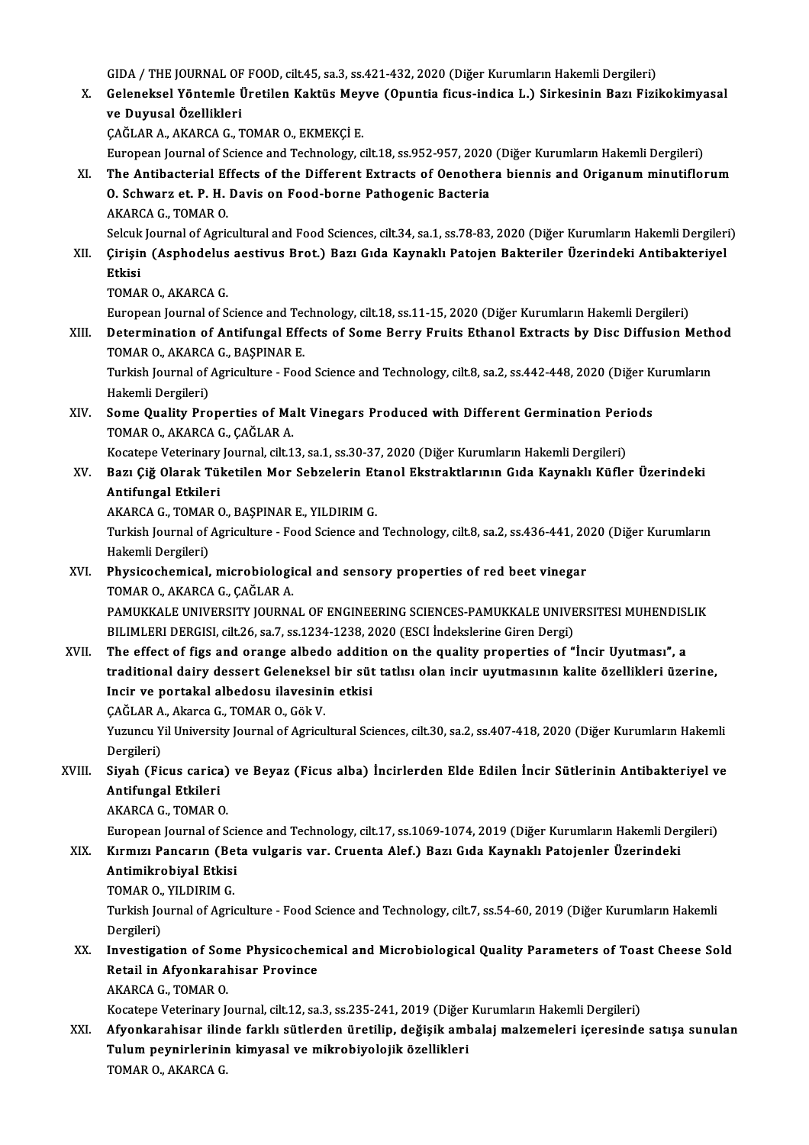GIDA / THE JOURNAL OF FOOD, cilt.45, sa.3, ss.421-432, 2020 (Diğer Kurumların Hakemli Dergileri)<br>Celeneksel Yöntemle Ünstilen Kaktüs Meuve (Opuntia fiaus indise L.) Sinkesinin Besu Eisij

X. Geleneksel Yöntemle Üretilen Kaktüs Meyve (Opuntia ficus-indica L.) Sirkesinin Bazı Fizikokimyasal<br>ve Duyusal Özellikleri GIDA / THE JOURNAL OF<br>Geleneksel Yöntemle İ<br>ve Duyusal Özellikleri<br>SAĞLAR A AKARCA S ve Duyusal Özellikleri<br>ÇAĞLAR A., AKARCA G., TOMAR O., EKMEKÇİ E.<br>European Journal of Science and Technology, cilt.18, ss.952-957, 2020 (Diğer Kurumların Hakemli Dergileri)<br>The Antibasterial Effests of the Different Extras

ÇAĞLAR A., AKARCA G., TOMAR O., EKMEKÇİ E.

XI. The Antibacterial Effects of the Different Extracts of Oenothera biennis and Origanumminutiflorum European Journal of Science and Technology, cilt.18, ss.952-957, 2020<br>The Antibacterial Effects of the Different Extracts of Oenother<br>O. Schwarz et. P. H. Davis on Food-borne Pathogenic Bacteria<br>AKAPCA C. TOMAP O. O. Schwarz et. P. H. Davis on Food-borne Pathogenic Bacteria<br>AKARCA G., TOMAR O. O. Schwarz et. P. H. Davis on Food-borne Pathogenic Bacteria<br>AKARCA G., TOMAR O.<br>Selcuk Journal of Agricultural and Food Sciences, cilt.34, sa.1, ss.78-83, 2020 (Diğer Kurumların Hakemli Dergileri)<br>Cirisin (Asphodolus acet

XII. Çirişin (Asphodelus aestivus Brot.) Bazı Gıda Kaynaklı Patojen Bakteriler Üzerindeki Antibakteriyel<br>Etkisi Selcuk<br><mark>Çirişii</mark><br>Etkisi<br>TOMAI

```
TOMAR O., AKARCA G.
```
European Journal of Science and Technology, cilt.18, ss.11-15, 2020 (Diğer Kurumların Hakemli Dergileri)

TOMAR O., AKARCA G.<br>European Journal of Science and Technology, cilt.18, ss.11-15, 2020 (Diğer Kurumların Hakemli Dergileri)<br>XIII. Determination of Antifungal Effects of Some Berry Fruits Ethanol Extracts by Disc Diffu European Journal of Science and Teo<br>Determination of Antifungal Effe<br>TOMAR O., AKARCA G., BAŞPINAR E.<br>Turkish Journal of Asrigulture - Esse Determination of Antifungal Effects of Some Berry Fruits Ethanol Extracts by Disc Diffusion Meth<br>TOMAR O., AKARCA G., BAŞPINAR E.<br>Turkish Journal of Agriculture - Food Science and Technology, cilt.8, sa.2, ss.442-448, 2020

TOMAR O., AKARCA G., BAŞPINAR E.<br>Turkish Journal of Agriculture - Food Science and Technology, cilt.8, sa.2, ss.442-448, 2020 (Diğer Kurumların<br>Hakemli Dergileri) Turkish Journal of Agriculture - Food Science and Technology, cilt.8, sa.2, ss.442-448, 2020 (Diğer K<br>Hakemli Dergileri)<br>XIV. Some Quality Properties of Malt Vinegars Produced with Different Germination Periods<br>TOMAR O. AK

Hakemli Dergileri)<br>Some Quality Properties of Ma<br>TOMAR O., AKARCA G., ÇAĞLAR A.<br>Kesstane Veterinary Jeurnal, silt 1 Some Quality Properties of Malt Vinegars Produced with Different Germination Peri<br>TOMAR O., AKARCA G., ÇAĞLAR A.<br>Kocatepe Veterinary Journal, cilt.13, sa.1, ss.30-37, 2020 (Diğer Kurumların Hakemli Dergileri)<br>Peru Giž Olar

Kocatepe Veterinary Journal, cilt.13, sa.1, ss.30-37, 2020 (Diğer Kurumların Hakemli Dergileri)

TOMAR O., AKARCA G., ÇAĞLAR A.<br>Kocatepe Veterinary Journal, cilt.13, sa.1, ss.30-37, 2020 (Diğer Kurumların Hakemli Dergileri)<br>XV. Bazı Çiğ Olarak Tüketilen Mor Sebzelerin Etanol Ekstraktlarının Gıda Kaynaklı Küfler Üzerin Bazı Çiğ Olarak Tüketilen Mor Sebzelerin Et<br>Antifungal Etkileri<br>AKARCA G., TOMAR O., BAŞPINAR E., YILDIRIM G.<br>Turkich Journal of Agriculture. Food Science and

Turkish Journal of Agriculture - Food Science and Technology, cilt.8, sa.2, ss.436-441, 2020 (Diğer Kurumların<br>Hakemli Dergileri) AKARCA G., TOMAR<br>Turkish Journal of<br>Hakemli Dergileri)<br>Physisochemisal Turkish Journal of Agriculture - Food Science and Technology, cilt.8, sa.2, ss.436-441, 20<br>Hakemli Dergileri)<br>XVI. Physicochemical, microbiological and sensory properties of red beet vinegar<br>TOMAR O AKARGA C CAČLAR A

## Hakemli Dergileri)<br><mark>Physicochemical, microbiologi</mark><br>TOMAR O., AKARCA G., ÇAĞLAR A.<br>PAMIKKALE UNIVERSITY JOURNA TOMAR O., AKARCA G., ÇAĞLAR A.<br>PAMUKKALE UNIVERSITY JOURNAL OF ENGINEERING SCIENCES-PAMUKKALE UNIVERSITESI MUHENDISLIK

BILIMLERI DERGISI, cilt.26, sa.7, ss.1234-1238, 2020 (ESCI İndekslerine Giren Dergi) PAMUKKALE UNIVERSITY JOURNAL OF ENGINEERING SCIENCES-PAMUKKALE UNIVERSITESI MUHENDISI<br>BILIMLERI DERGISI, cilt.26, sa.7, ss.1234-1238, 2020 (ESCI Indekslerine Giren Dergi)<br>XVII. The effect of figs and orange albedo addition

- traditional dairy dessert Geleneksel bir süt tatlısı olan incir uyutmasının kalite özellikleri üzerine, The effect of figs and orange albedo addition<br>traditional dairy dessert Geleneksel bir süt<br>Incir ve portakal albedosu ilavesinin etkisi<br>CAČLAR A. Akang G. TOMAR O. Gäk V Incir ve portakal albedosu ilavesinin etkisi
	- CAĞLAR A., Akarca G., TOMAR O., Gök V.

Yuzuncu Yil University Journal of Agricultural Sciences, cilt.30, sa.2, ss.407-418, 2020 (Diğer Kurumların Hakemli<br>Dergileri) Yuzuncu Yil University Journal of Agricultural Sciences, cilt.30, sa.2, ss.407-418, 2020 (Diğer Kurumların Hakemli<br>Dergileri)<br>XVIII. Siyah (Ficus carica) ve Beyaz (Ficus alba) İncirlerden Elde Edilen İncir Sütlerinin Antib

Dergileri)<br>Siyah (Ficus carica<br>Antifungal Etkileri<br>AKABCA C. TOMAB C Antifungal Etkileri<br>AKARCA G., TOMAR O. Antifungal Etkileri<br>AKARCA G., TOMAR O.<br>European Journal of Science and Technology, cilt.17, ss.1069-1074, 2019 (Diğer Kurumların Hakemli Dergileri)<br>Kırmızı Bangarın (Beta uulgaris var. Cruenta Alef.) Bazı Cıda Kaynaklı Ba

## AKARCA G., TOMAR O.<br>European Journal of Science and Technology, cilt.17, ss.1069-1074, 2019 (Diğer Kurumların Hakemli Der<br>XIX. Kırmızı Pancarın (Beta vulgaris var. Cruenta Alef.) Bazı Gıda Kaynaklı Patojenler Üzerindek European Journal of Sci<br>Kırmızı Pancarın (Bet<br>Antimikrobiyal Etkisi<br>TOMAR O, YU DIRIM C Kırmızı Pancarın (Be<br>Antimikrobiyal Etkisi<br>TOMAR O., YILDIRIM G.<br>Turkish Journal of Agri

Antimikrobiyal Etkisi<br>TOMAR O., YILDIRIM G.<br>Turkish Journal of Agriculture - Food Science and Technology, cilt.7, ss.54-60, 2019 (Diğer Kurumların Hakemli TOMAR O.,<br>Turkish Jo<br>Dergileri)<br>Investige Turkish Journal of Agriculture - Food Science and Technology, cilt.7, ss.54-60, 2019 (Diğer Kurumların Hakemli<br>Dergileri)<br>XX. Investigation of Some Physicochemical and Microbiological Quality Parameters of Toast Cheese Sol

## Dergileri)<br>Investigation of Some Physicochen<br>Retail in Afyonkarahisar Province<br>AKABCA C. TOMAB O Investigation of Son<br>Retail in Afyonkaral<br>AKARCA G., TOMAR O.<br>Kosstene Veterinary L Retail in Afyonkarahisar Province<br>AKARCA G., TOMAR O.<br>Kocatepe Veterinary Journal, cilt.12, sa.3, ss.235-241, 2019 (Diğer Kurumların Hakemli Dergileri)

XXI. Afyonkarahisar ilinde farklı sütlerden üretilip, değişik ambalajmalzemeleri içeresinde satışa sunulan Kocatepe Veterinary Journal, cilt.12, sa.3, ss.235-241, 2019 (Diğer<br>Afyonkarahisar ilinde farklı sütlerden üretilip, değişik aml<br>Tulum peynirlerinin kimyasal ve mikrobiyolojik özellikleri<br>TOMAR O. AKARCA C Afyonkarahisar ilin<br>Tulum peynirlerinir<br>TOMAR O., AKARCA G.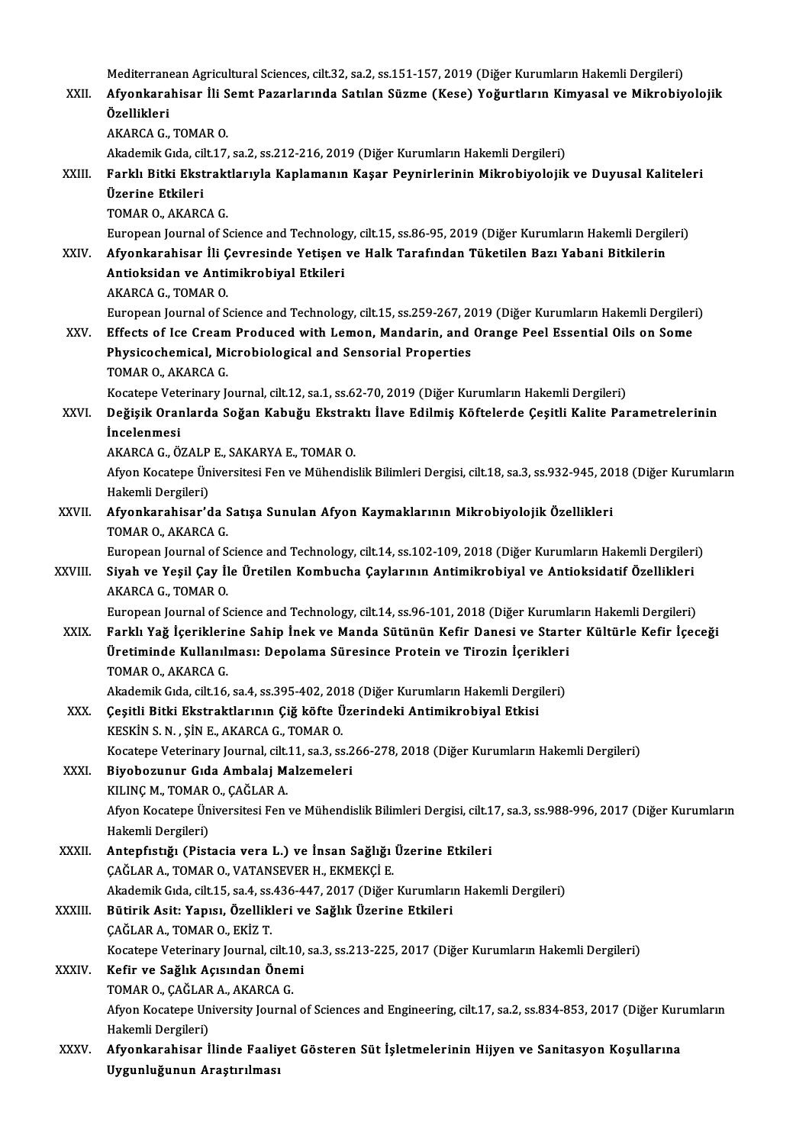| XXII.       | Mediterranean Agricultural Sciences, cilt.32, sa.2, ss.151-157, 2019 (Diğer Kurumların Hakemli Dergileri)<br>Afyonkarahisar İli Semt Pazarlarında Satılan Süzme (Kese) Yoğurtların Kimyasal ve Mikrobiyolojik                        |
|-------------|--------------------------------------------------------------------------------------------------------------------------------------------------------------------------------------------------------------------------------------|
|             | Özellikleri<br>AKARCA G., TOMAR O.                                                                                                                                                                                                   |
|             | Akademik Gıda, cilt.17, sa.2, ss.212-216, 2019 (Diğer Kurumların Hakemli Dergileri)                                                                                                                                                  |
| XXIII.      | Farklı Bitki Ekstraktlarıyla Kaplamanın Kaşar Peynirlerinin Mikrobiyolojik ve Duyusal Kaliteleri<br>Üzerine Etkileri                                                                                                                 |
|             | TOMAR O., AKARCA G.                                                                                                                                                                                                                  |
| <b>XXIV</b> | European Journal of Science and Technology, cilt.15, ss.86-95, 2019 (Diğer Kurumların Hakemli Dergileri)<br>Afyonkarahisar İli Çevresinde Yetişen ve Halk Tarafından Tüketilen Bazı Yabani Bitkilerin                                |
|             | Antioksidan ve Antimikrobiyal Etkileri<br>AKARCA G., TOMAR O.                                                                                                                                                                        |
|             | European Journal of Science and Technology, cilt.15, ss.259-267, 2019 (Diğer Kurumların Hakemli Dergileri)                                                                                                                           |
| XXV         | Effects of Ice Cream Produced with Lemon, Mandarin, and Orange Peel Essential Oils on Some<br>Physicochemical, Microbiological and Sensorial Properties                                                                              |
|             | TOMAR O., AKARCA G.                                                                                                                                                                                                                  |
| XXVI.       | Kocatepe Veterinary Journal, cilt.12, sa.1, ss.62-70, 2019 (Diğer Kurumların Hakemli Dergileri)<br>Değişik Oranlarda Soğan Kabuğu Ekstraktı İlave Edilmiş Köftelerde Çeşitli Kalite Parametrelerinin                                 |
|             | <i>incelenmesi</i>                                                                                                                                                                                                                   |
|             | AKARCA G., ÖZALP E., SAKARYA E., TOMAR O.                                                                                                                                                                                            |
|             | Afyon Kocatepe Üniversitesi Fen ve Mühendislik Bilimleri Dergisi, cilt.18, sa.3, ss.932-945, 2018 (Diğer Kurumların<br>Hakemli Dergileri)                                                                                            |
| XXVII.      | Afyonkarahisar'da Satışa Sunulan Afyon Kaymaklarının Mikrobiyolojik Özellikleri<br>TOMAR O., AKARCA G.                                                                                                                               |
| XXVIII.     | European Journal of Science and Technology, cilt.14, ss.102-109, 2018 (Diğer Kurumların Hakemli Dergileri)<br>Siyah ve Yeşil Çay İle Üretilen Kombucha Çaylarının Antimikrobiyal ve Antioksidatif Özellikleri<br>AKARCA G., TOMAR O. |
| <b>XXIX</b> | European Journal of Science and Technology, cilt.14, ss.96-101, 2018 (Diğer Kurumların Hakemli Dergileri)<br>Farklı Yağ İçeriklerine Sahip İnek ve Manda Sütünün Kefir Danesi ve Starter Kültürle Kefir İçeceği                      |
|             | Üretiminde Kullanılması: Depolama Süresince Protein ve Tirozin İçerikleri<br>TOMAR O., AKARCA G.                                                                                                                                     |
|             | Akademik Gıda, cilt.16, sa.4, ss.395-402, 2018 (Diğer Kurumların Hakemli Dergileri)                                                                                                                                                  |
| XXX.        | Çeşitli Bitki Ekstraktlarının Çiğ köfte Üzerindeki Antimikrobiyal Etkisi<br>KESKIN S. N., ŞIN E., AKARCA G., TOMAR O.                                                                                                                |
|             | Kocatepe Veterinary Journal, cilt.11, sa.3, ss.266-278, 2018 (Diğer Kurumların Hakemli Dergileri)                                                                                                                                    |
| <b>XXXI</b> | Biyobozunur Gıda Ambalaj Malzemeleri<br>KILINÇ M., TOMAR O., ÇAĞLAR A.                                                                                                                                                               |
|             | Afyon Kocatepe Üniversitesi Fen ve Mühendislik Bilimleri Dergisi, cilt.17, sa.3, ss.988-996, 2017 (Diğer Kurumların<br>Hakemli Dergileri)                                                                                            |
| XXXII.      | Antepfıstığı (Pistacia vera L.) ve İnsan Sağlığı Üzerine Etkileri<br>ÇAĞLAR A., TOMAR O., VATANSEVER H., EKMEKÇİ E.                                                                                                                  |
|             | Akademik Gıda, cilt.15, sa.4, ss.436-447, 2017 (Diğer Kurumların Hakemli Dergileri)                                                                                                                                                  |
| XXXIII      | Bütirik Asit: Yapısı, Özellikleri ve Sağlık Üzerine Etkileri<br>ÇAĞLAR A., TOMAR O., EKİZ T.                                                                                                                                         |
|             | Kocatepe Veterinary Journal, cilt.10, sa.3, ss.213-225, 2017 (Diğer Kurumların Hakemli Dergileri)                                                                                                                                    |
| XXXIV.      | Kefir ve Sağlık Açısından Önemi<br>TOMAR O., ÇAĞLAR A., AKARCA G.                                                                                                                                                                    |
|             | Afyon Kocatepe University Journal of Sciences and Engineering, cilt.17, sa.2, ss.834-853, 2017 (Diğer Kurumların<br>Hakemli Dergileri)                                                                                               |
| XXXV.       | Afyonkarahisar İlinde Faaliyet Gösteren Süt İşletmelerinin Hijyen ve Sanitasyon Koşullarına<br>Uygunluğunun Araştırılması                                                                                                            |
|             |                                                                                                                                                                                                                                      |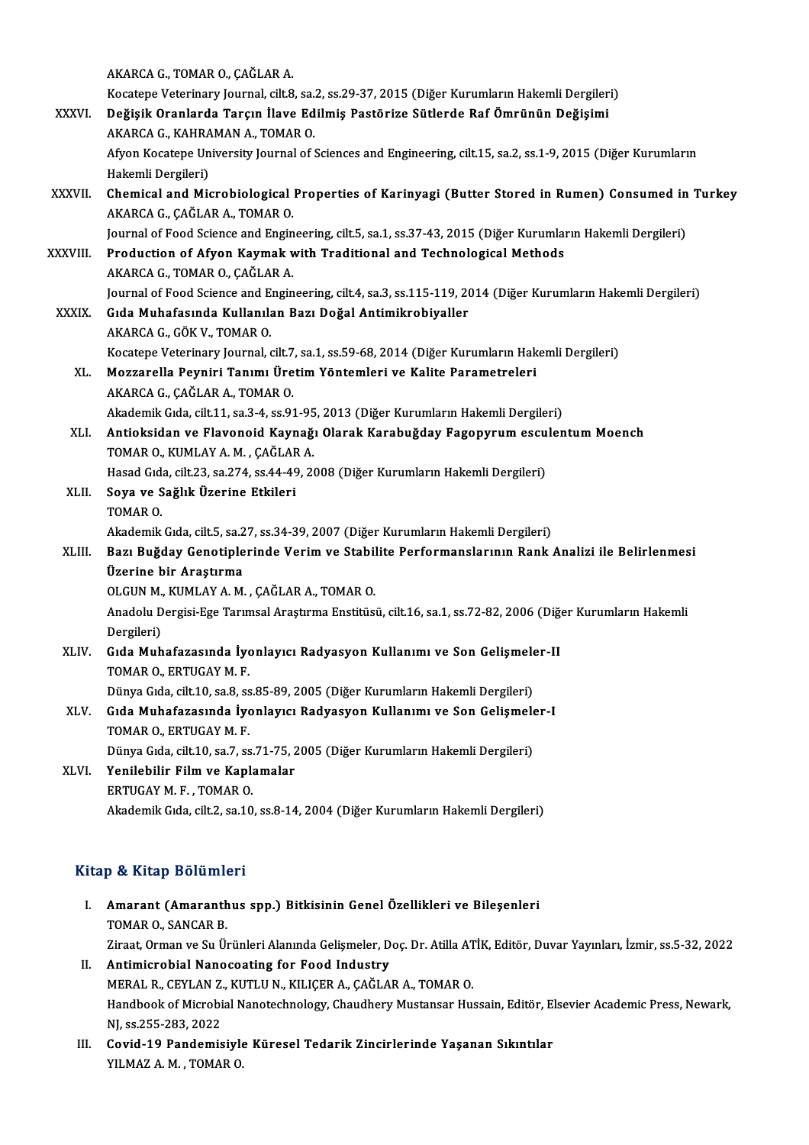|              | AKARCA G., TOMAR O., ÇAĞLAR A.                                                                                      |
|--------------|---------------------------------------------------------------------------------------------------------------------|
|              | Kocatepe Veterinary Journal, cilt.8, sa.2, ss.29-37, 2015 (Diğer Kurumların Hakemli Dergileri)                      |
| XXXVI.       | Değişik Oranlarda Tarçın İlave Edilmiş Pastörize Sütlerde Raf Ömrünün Değişimi                                      |
|              | AKARCA G., KAHRAMAN A., TOMAR O.                                                                                    |
|              | Afyon Kocatepe University Journal of Sciences and Engineering, cilt.15, sa.2, ss.1-9, 2015 (Diğer Kurumların        |
|              | Hakemli Dergileri)                                                                                                  |
| XXXVII.      | Chemical and Microbiological Properties of Karinyagi (Butter Stored in Rumen) Consumed in Turkey                    |
|              | AKARCA G., ÇAĞLAR A., TOMAR O.                                                                                      |
|              | Journal of Food Science and Engineering, cilt.5, sa.1, ss.37-43, 2015 (Diğer Kurumların Hakemli Dergileri)          |
| XXXVIII.     | Production of Afyon Kaymak with Traditional and Technological Methods                                               |
|              | AKARCA G., TOMAR O., CAĞLAR A.                                                                                      |
|              | Journal of Food Science and Engineering, cilt.4, sa.3, ss.115-119, 2014 (Diğer Kurumların Hakemli Dergileri)        |
| <b>XXXIX</b> | Gıda Muhafasında Kullanılan Bazı Doğal Antimikrobiyaller                                                            |
|              | AKARCA G., GÖK V., TOMAR O.                                                                                         |
|              | Kocatepe Veterinary Journal, cilt.7, sa.1, ss.59-68, 2014 (Diğer Kurumların Hakemli Dergileri)                      |
| XL.          | Mozzarella Peyniri Tanımı Üretim Yöntemleri ve Kalite Parametreleri                                                 |
|              | AKARCA G., ÇAĞLAR A., TOMAR O.                                                                                      |
|              | Akademik Gıda, cilt.11, sa.3-4, ss.91-95, 2013 (Diğer Kurumların Hakemli Dergileri)                                 |
| XLI.         | Antioksidan ve Flavonoid Kaynağı Olarak Karabuğday Fagopyrum esculentum Moench<br>TOMAR O., KUMLAY A. M., ÇAĞLAR A. |
|              | Hasad Gıda, cilt.23, sa.274, ss.44-49, 2008 (Diğer Kurumların Hakemli Dergileri)                                    |
| XLII.        | Soya ve Sağlık Üzerine Etkileri                                                                                     |
|              | TOMAR O                                                                                                             |
|              | Akademik Gıda, cilt.5, sa.27, ss.34-39, 2007 (Diğer Kurumların Hakemli Dergileri)                                   |
| XLIII.       | Bazı Buğday Genotiplerinde Verim ve Stabilite Performanslarının Rank Analizi ile Belirlenmesi                       |
|              | Üzerine bir Araştırma                                                                                               |
|              | OLGUN M., KUMLAY A. M., ÇAĞLAR A., TOMAR O.                                                                         |
|              | Anadolu Dergisi-Ege Tarımsal Araştırma Enstitüsü, cilt.16, sa.1, ss.72-82, 2006 (Diğer Kurumların Hakemli           |
|              | Dergileri)                                                                                                          |
| XLIV.        | Gıda Muhafazasında İyonlayıcı Radyasyon Kullanımı ve Son Gelişmeler-II                                              |
|              | TOMAR O., ERTUGAY M. F.                                                                                             |
|              | Dünya Gıda, cilt.10, sa.8, ss.85-89, 2005 (Diğer Kurumların Hakemli Dergileri)                                      |
| XLV.         | Gıda Muhafazasında İyonlayıcı Radyasyon Kullanımı ve Son Gelişmeler-I                                               |
|              | TOMAR O., ERTUGAY M. F.                                                                                             |
|              | Dünya Gıda, cilt.10, sa.7, ss.71-75, 2005 (Diğer Kurumların Hakemli Dergileri)                                      |
| XLVI.        | Yenilebilir Film ve Kaplamalar                                                                                      |
|              | ERTUGAY M. F., TOMAR O.                                                                                             |
|              | Akademik Gıda, cilt.2, sa.10, ss.8-14, 2004 (Diğer Kurumların Hakemli Dergileri)                                    |
|              |                                                                                                                     |

#### Kitap & Kitap Bölümleri

- itap & Kitap Bölümleri<br>I. Amarant (Amaranthus spp.) Bitkisinin Genel Özellikleri ve Bileşenleri<br>TOMAR O. SANCAR R Amarant (Amaranth<br>TOMAR O., SANCAR B.<br>Tirect Orman vs Su Üs TOMAR O., SANCAR B.<br>Ziraat, Orman ve Su Ürünleri Alanında Gelişmeler, Doç. Dr. Atilla ATİK, Editör, Duvar Yayınları, İzmir, ss.5-32, 2022
- II. Antimicrobial Nanocoating for Food Industry MERALR.,CEYLANZ.,KUTLUN.,KILIÇERA.,ÇAĞLARA.,TOMARO. Antimicrobial Nanocoating for Food Industry<br>MERAL R., CEYLAN Z., KUTLU N., KILIÇER A., ÇAĞLAR A., TOMAR O.<br>Handbook of Microbial Nanotechnology, Chaudhery Mustansar Hussain, Editör, Elsevier Academic Press, Newark,<br>NL cs 2 MERAL R., CEYLAN Z.<br>Handbook of Microbi<br>NJ, ss.255-283, 2022<br>Covid 10 Bandomis Handbook of Microbial Nanotechnology, Chaudhery Mustansar Hussain, Editör, El<br>NJ, ss.255-283, 2022<br>III. Covid-19 Pandemisiyle Küresel Tedarik Zincirlerinde Yaşanan Sıkıntılar<br>VII.M47.A.M. TOMAR.Q
- NJ, ss.255-283, 2022<br><mark>Covid-19 Pandemisiyl</mark>ı<br>YILMAZ A. M. , TOMAR 0.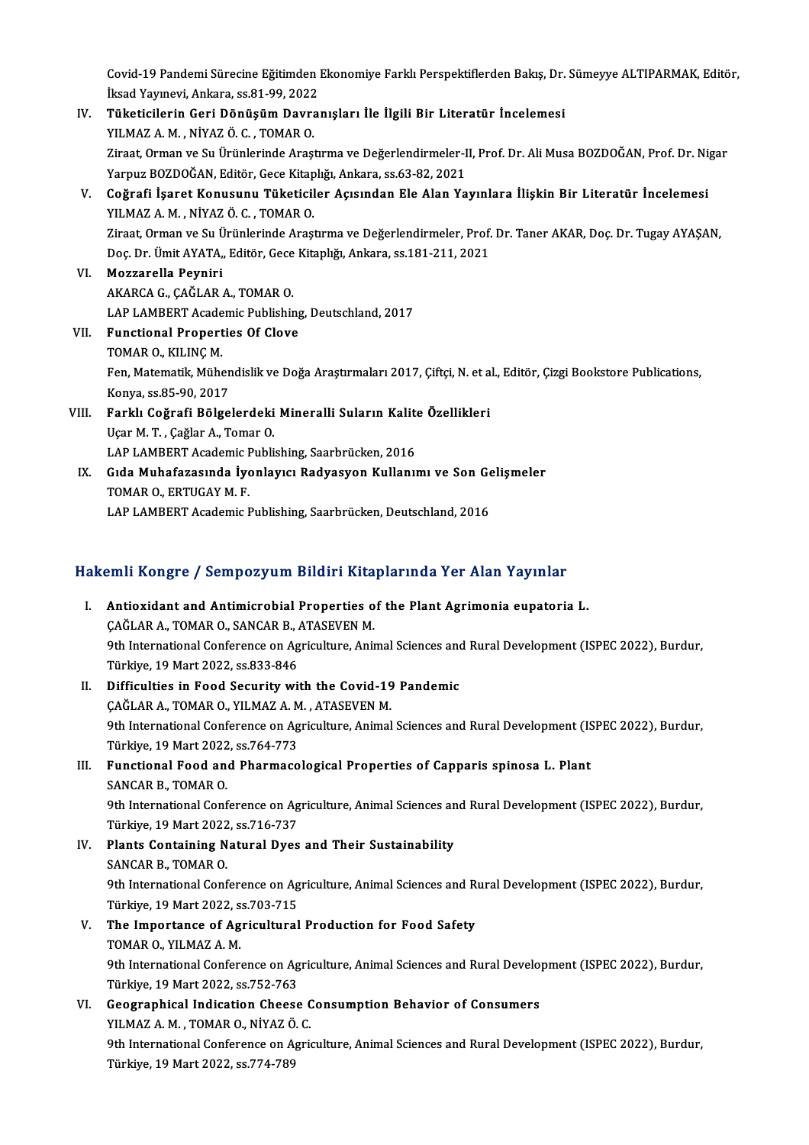Covid-19 Pandemi Sürecine Eğitimden Ekonomiye Farklı Perspektiflerden Bakış, Dr. Sümeyye ALTIPARMAK, Editör,<br>İksed Yayınevi, Ankara, 99,81,99,2022 Covid-19 Pandemi Sürecine Eğitimden<br>İksad Yayınevi, Ankara, ss.81-99, 2022<br>Tüketisilerin Ceri Dönüsüm Deure: İksad Yayınevi, Ankara, ss.81-99, 2022

- IV. Tüketicilerin Geri Dönüşüm Davranışları İle İlgili Bir Literatür İncelemesi<br>YILMAZ A. M., NİYAZ Ö. C., TOMAR O. Tüketicilerin Geri Dönüşüm Davranışları İle İlgili Bir Literatür İncelemesi<br>YILMAZ A. M. , NİYAZ Ö. C. , TOMAR O.<br>Ziraat, Orman ve Su Ürünlerinde Araştırma ve Değerlendirmeler-II, Prof. Dr. Ali Musa BOZDOĞAN, Prof. Dr. Nig YILMAZ A. M. , NİYAZ Ö. C. , TOMAR O.<br>Ziraat, Orman ve Su Ürünlerinde Araştırma ve Değerlendirmeler-I<br>Yarpuz BOZDOĞAN, Editör, Gece Kitaplığı, Ankara, ss.63-82, 2021<br>Coğrafi İsaret Konusunu, Tüketisiler, Asısından Ele Alan Ziraat, Orman ve Su Ürünlerinde Araştırma ve Değerlendirmeler-II, Prof. Dr. Ali Musa BOZDOĞAN, Prof. Dr. Ni,<br>Yarpuz BOZDOĞAN, Editör, Gece Kitaplığı, Ankara, ss.63-82, 2021<br>V. Coğrafi İşaret Konusunu Tüketiciler Açısından
- Yarpuz BOZDOĞAN, Editör, Gece Kitap<br>Coğrafi İşaret Konusunu Tüketicil<br>YILMAZ A. M. , NİYAZ Ö. C. , TOMAR O.<br>Ziraat Orman ve Su Ürünlerinde Arası YILMAZ A. M. , NİYAZ Ö. C. , TOMAR O.<br>Ziraat, Orman ve Su Ürünlerinde Araştırma ve Değerlendirmeler, Prof. Dr. Taner AKAR, Doç. Dr. Tugay AYASAN, YILMAZ A. M. , NİYAZ Ö. C. , TOMAR O.<br>Ziraat, Orman ve Su Ürünlerinde Araştırma ve Değerlendirmeler, Prof.<br>Doç. Dr. Ümit AYATA,, Editör, Gece Kitaplığı, Ankara, ss.181-211, 2021<br>Meggarella Beynini
- VI. Mozzarella Peyniri<br>AKARCA G., CAĞLAR A., TOMAR O. Doç. Dr. Ümit AYATA,, Editör, Gece<br><mark>Mozzarella Peyniri</mark><br>AKARCA G., ÇAĞLAR A., TOMAR O.<br>LAR LAMPERT Asadomis Publishir LAP LAMBERT Academic Publishing, Deutschland, 2017 AKARCA G., ÇAĞLAR A., TOMAR O.<br>LAP LAMBERT Academic Publishing<br>VII. Functional Properties Of Clove<br>TOMAR O. KILING M
- LAP LAMBERT Acade<br>Functional Propert<br>TOMAR O., KILINÇ M.<br>Fon Matematik Müha Functional Properties Of Clove<br>TOMAR O., KILINÇ M.<br>Fen, Matematik, Mühendislik ve Doğa Araştırmaları 2017, Çiftçi, N. et al., Editör, Çizgi Bookstore Publications, TOMAR O., KILINÇ M.<br>Fen, Matematik, Mühen<br>Konya, ss.85-90, 2017<br>Ferkk Cežrefi Bölge Fen, Matematik, Mühendislik ve Doğa Araştırmaları 2017, Çiftçi, N. et a<br>Konya, ss.85-90, 2017<br>VIII. Farklı Coğrafi Bölgelerdeki Mineralli Suların Kalite Özellikleri<br>Ven M.T., Coğlar A. Temar Q
- Konya, ss.85-90, 2017<br><mark>Farklı Coğrafi Bölgelerdeki</mark><br>Uçar M. T. , Çağlar A., Tomar O.<br>LAR LAMPEPT Agademiş Publi Farklı Coğrafi Bölgelerdeki Mineralli Suların Kalit<br>Uçar M. T. , Çağlar A., Tomar O.<br>LAP LAMBERT Academic Publishing, Saarbrücken, 2016<br>Cida Muhafarasında İvanlayısı Badyasyan Kullanı
- Uçar M. T. , Çağlar A., Tomar O.<br>LAP LAMBERT Academic Publishing, Saarbrücken, 2016<br>IX. Gıda Muhafazasında İyonlayıcı Radyasyon Kullanımı ve Son Gelişmeler<br>TOMAR O., ERTUGAY M. F. LAP LAMBERT Academic F<br>Gıda Muhafazasında İye<br>TOMAR O., ERTUGAY M. F.<br>LAB LAMBERT Academis F LAP LAMBERT Academic Publishing, Saarbrücken, Deutschland, 2016

# LAP LAMBERT Academic Publishing, Saarbrucken, Deutschland, 2016<br>Hakemli Kongre / Sempozyum Bildiri Kitaplarında Yer Alan Yayınlar

- akemli Kongre / Sempozyum Bildiri Kitaplarında Yer Alan Yayınlar<br>I. Antioxidant and Antimicrobial Properties of the Plant Agrimonia eupatoria L. I. Antioxidant and Antimicrobial Properties of the Plant Agrimonia eupatoria L.<br>CAĞLAR A., TOMAR O., SANCAR B., ATASEVEN M. Antioxidant and Antimicrobial Properties of the Plant Agrimonia eupatoria L.<br>ÇAĞLAR A., TOMAR O., SANCAR B., ATASEVEN M.<br>9th International Conference on Agriculture, Animal Sciences and Rural Development (ISPEC 2022), Burd CAĞLAR A., TOMAR O., SANCAR B., *1*<br>9th International Conference on Ag<br>Türkiye, 19 Mart 2022, ss.833-846<br>Difficulties in Eood Socurity wi 9th International Conference on Agriculture, Animal Sciences and<br>Türkiye, 19 Mart 2022, ss.833-846<br>II. Difficulties in Food Security with the Covid-19 Pandemic<br>CAČLAR A TOMAR O, VILMAZ A M. ATASEVEN M
- Türkiye, 19 Mart 2022, ss.833-846<br>II. Difficulties in Food Security with the Covid-19 Pandemic<br>CAĞLAR A., TOMAR O., YILMAZ A. M. , ATASEVEN M. Difficulties in Food Security with the Covid-19 Pandemic<br>ÇAĞLAR A., TOMAR O., YILMAZ A. M. , ATASEVEN M.<br>9th International Conference on Agriculture, Animal Sciences and Rural Development (ISPEC 2022), Burdur,<br>Türkiye 19 M CAĞLAR A., TOMAR O., YILMAZ A. M<br>9th International Conference on Ag<br>Türkiye, 19 Mart 2022, ss.764-773<br>Eunstional Easd and Pharmass 9th International Conference on Agriculture, Animal Sciences and Rural Development (IS<br>Türkiye, 19 Mart 2022, ss.764-773<br>III. Functional Food and Pharmacological Properties of Capparis spinosa L. Plant<br>SANGAR R. TOMAR O
- Türkiye, 19 Mart 2022<br>Functional Food an<br>SANCAR B., TOMAR O.<br><sup>Oth International Conf</sub></sup> SANCAR B., TOMAR O.<br>9th International Conference on Agriculture, Animal Sciences and Rural Development (ISPEC 2022), Burdur, SANCAR B., TOMAR O.<br>9th International Conference on Ag<br>Türkiye, 19 Mart 2022, ss.716-737<br>Plants Containing Natural Dyes
- IV. Plants Containing Natural Dyes and Their Sustainability Türkiye, 19 Mart 2022<br>Plants Containing N<br>SANCAR B., TOMAR 0.<br><sup>Oth International Cont</sup> Plants Containing Natural Dyes and Their Sustainability<br>SANCAR B., TOMAR 0.<br>9th International Conference on Agriculture, Animal Sciences and Rural Development (ISPEC 2022), Burdur,<br>Türkiye 19 Mert 2022, 85.702.715. SANCAR B., TOMAR O.<br>9th International Conference on Ag<br>Türkiye, 19 Mart 2022, ss.703-715<br>The Impertance of Agricultural 9th International Conference on Agriculture, Animal Sciences and R<br>Türkiye, 19 Mart 2022, ss.703-715<br>V. The Importance of Agricultural Production for Food Safety<br>TOMAR O. VILMAZ A.M
- Türkiye, 19 Mart 2022, ss.703-715<br>V. The Importance of Agricultural Production for Food Safety<br>TOMAR 0., YILMAZ A. M. The Importance of Agricultural Production for Food Safety<br>TOMAR O., YILMAZ A. M.<br>9th International Conference on Agriculture, Animal Sciences and Rural Development (ISPEC 2022), Burdur,<br>Türkiye 19 Mart 2022, 83,752,762 TOMAR O., YILMAZ A. M.<br>9th International Conference on Ag<br>Türkiye, 19 Mart 2022, ss.752-763<br>Coographical Indiastion Chooge 9th International Conference on Agriculture, Animal Sciences and Rural Develor<br>Türkiye, 19 Mart 2022, ss.752-763<br>VI. Geographical Indication Cheese Consumption Behavior of Consumers<br>VII MAZ A M. TOMAR O. NiVAZ Ö.C
- Türkiye, 19 Mart 2022, ss.752-763<br>Geographical Indication Cheese C<br>YILMAZ A. M. , TOMAR O., NİYAZ Ö. C.<br><sup>Oth Intornational Conference on Agri</sup> 9th International Conference on Agriculture, Animal Sciences and Rural Development (ISPEC 2022), Burdur,<br>Türkiye, 19 Mart 2022, ss.774-789 YILMAZ A.M., TOMAR O., NİYAZ Ö.C.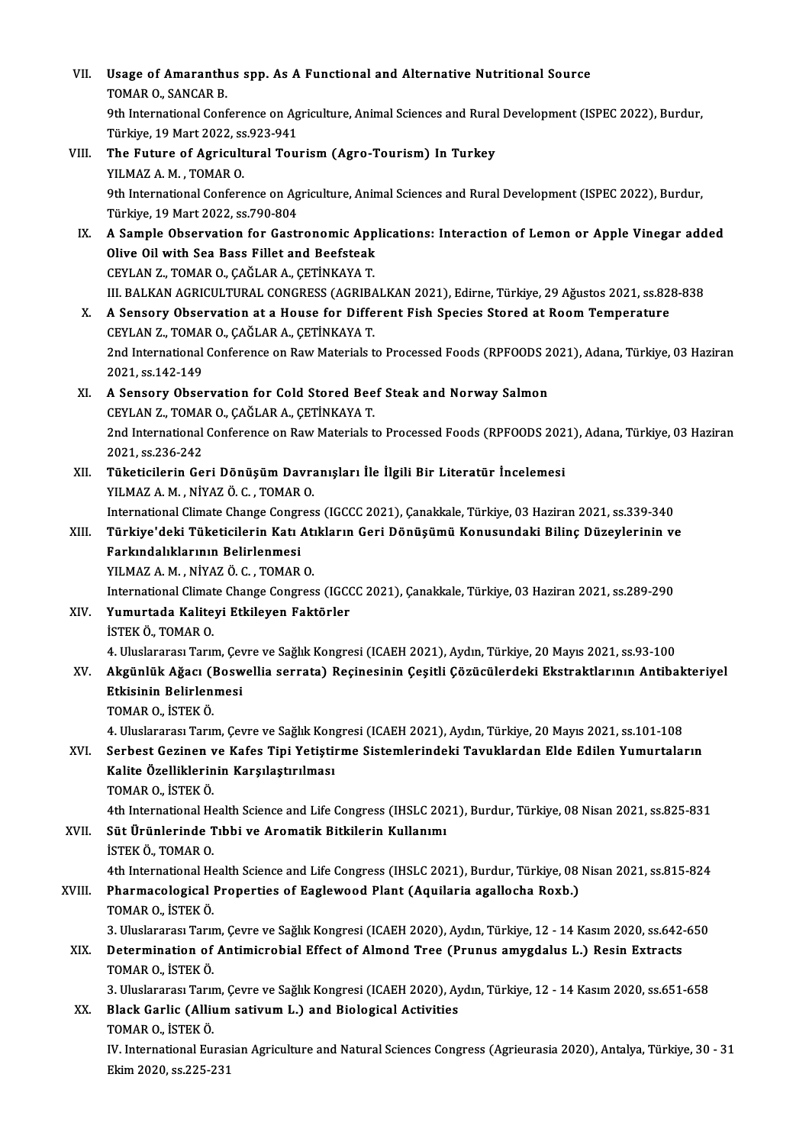VII. Usage of Amaranthus spp. As A Functional and Alternative Nutritional Source<br>TOMAR O, SANCAR R Usage of Amaranth<br>TOMAR O., SANCAR B.<br><sup>Oth International Conf</sub></sup> TOMAR O., SANCAR B.<br>9th International Conference on Agriculture, Animal Sciences and Rural Development (ISPEC 2022), Burdur, Türkiye,19Mart2022, ss.923-941 9th International Conference on Agriculture, Animal Sciences and Rural<br>Türkiye, 19 Mart 2022, ss.923-941<br>VIII. The Future of Agricultural Tourism (Agro-Tourism) In Turkey<br>VII MAZ A M TOMAR O Türkiye, 19 Mart 2022, ss<br>The Future of Agricult<br>YILMAZ A.M. , TOMAR 0.<br><sup>Oth International Confere</sup> The Future of Agricultural Tourism (Agro-Tourism) In Turkey<br>YILMAZ A. M. , TOMAR O.<br>9th International Conference on Agriculture, Animal Sciences and Rural Development (ISPEC 2022), Burdur,<br>Türkiye 19 Mart 2022, SS 790, 804 YILMAZ A. M. , TOMAR O.<br>9th International Conference on Ag<br>Türkiye, 19 Mart 2022, ss.790-804<br>A Sample Observation for Castl 9th International Conference on Agriculture, Animal Sciences and Rural Development (ISPEC 2022), Burdur,<br>Türkiye, 19 Mart 2022, ss.790-804<br>IX. A Sample Observation for Gastronomic Applications: Interaction of Lemon or Appl Türkiye, 19 Mart 2022, ss.790-804<br>A Sample Observation for Gastronomic App<br>Olive Oil with Sea Bass Fillet and Beefsteak<br>CEVLAN 7, TOMAR O, CAČLAR A, CETINKAVA T A Sample Observation for Gastronomic App<br>Olive Oil with Sea Bass Fillet and Beefsteak<br>CEYLAN Z., TOMAR O., ÇAĞLAR A., ÇETİNKAYA T.<br>III BALKAN ACRICULTIPAL CONCRESS (ACRIBA Olive Oil with Sea Bass Fillet and Beefsteak<br>CEYLAN Z., TOMAR O., ÇAĞLAR A., ÇETİNKAYA T.<br>III. BALKAN AGRICULTURAL CONGRESS (AGRIBALKAN 2021), Edirne, Türkiye, 29 Ağustos 2021, ss.828-838 X. A Sensory Observation at a House for Different Fish Species Stored at RoomTemperature III. BALKAN AGRICULTURAL CONGRESS (AGRIBA<br>A Sensory Observation at a House for Diffe<br>CEYLAN Z., TOMAR O., ÇAĞLAR A., ÇETİNKAYA T.<br>2nd International Conference on Bow Materials t 2nd International Conference on Raw Materials to Processed Foods (RPFOODS 2021), Adana, Türkiye, 03 Haziran 2021, ss.142-149 CEYLAN Z., TOMA<br>2nd International<br>2021, ss.142-149 2nd International Conference on Raw Materials to Processed Foods (RPFOODS 2<br>2021, ss.142-149<br>XI. A Sensory Observation for Cold Stored Beef Steak and Norway Salmon<br>CEVLAN Z. TOMAR O. CAČLAR A. CETINKAVA T. 2021, ss.142-149<br>A Sensory Observation for Cold Stored Bee<br>CEYLAN Z., TOMAR O., ÇAĞLAR A., ÇETİNKAYA T.<br>2nd International Conference en Bayı Meteriala t A Sensory Observation for Cold Stored Beef Steak and Norway Salmon<br>CEYLAN Z., TOMAR O., ÇAĞLAR A., ÇETİNKAYA T.<br>2nd International Conference on Raw Materials to Processed Foods (RPFOODS 2021), Adana, Türkiye, 03 Haziran<br>20 CEYLAN Z., TOMA<br>2nd International<br>2021, ss.236-242<br>Tületisilerin Ce 2nd International Conference on Raw Materials to Processed Foods (RPFOODS 202<br>2021, ss.236-242<br>XII. Tüketicilerin Geri Dönüşüm Davranışları İle İlgili Bir Literatür İncelemesi<br>VII.MAZAM, NİVAZÖ C, TOMAR O 2021, ss.236-242<br>XII. Tüketicilerin Geri Dönüşüm Davranışları İle İlgili Bir Literatür İncelemesi<br>YILMAZ A.M., NİYAZ Ö.C., TOMAR O. International Climate Change Congress (IGCCC 2021), Çanakkale, Türkiye, 03 Haziran 2021, ss.339-340 YILMAZ A. M. , NİYAZ Ö. C. , TOMAR O.<br>International Climate Change Congress (IGCCC 2021), Çanakkale, Türkiye, 03 Haziran 2021, ss.339-340<br>XIII. Türkiye'deki Tüketicilerin Katı Atıkların Geri Dönüşümü Konusundaki Bilinç International Climate Change Congr<br>Türkiye'deki Tüketicilerin Katı<br>Farkındalıklarının Belirlenmesi<br>YU MAZ A M. NİYAZÖ C. TOMAP Türkiye'deki Tüketicilerin Katı Atı<br>Farkındalıklarının Belirlenmesi<br>YILMAZ A.M., NİYAZ Ö.C., TOMAR O.<br>International Climate Change Congres Farkındalıklarının Belirlenmesi<br>YILMAZ A. M. , NİYAZ Ö. C. , TOMAR O.<br>International Climate Change Congress (IGCCC 2021), Çanakkale, Türkiye, 03 Haziran 2021, ss.289-290<br>Yumurtada Kalitavi Etkilovan Faktörler YILMAZ A. M. , NİYAZ Ö. C. , TOMAR O.<br>International Climate Change Congress (IGCC)<br>XIV. Yumurtada Kaliteyi Etkileyen Faktörler<br>ISTEK Ö., TOMAR O. International Climat<br>**Yumurtada Kalite<br>İSTEK Ö., TOMAR O.**<br>4. Uluslararesı Tarır Yumurtada Kaliteyi Etkileyen Faktörler<br>İSTEK Ö., TOMAR O.<br>4. Uluslararası Tarım, Çevre ve Sağlık Kongresi (ICAEH 2021), Aydın, Türkiye, 20 Mayıs 2021, ss.93-100<br>Akgünlük Ağası (Roswellia serrata), Bosinesinin Cesitli Cösüs İSTEK Ö., TOMAR O.<br>4. Uluslararası Tarım, Çevre ve Sağlık Kongresi (ICAEH 2021), Aydın, Türkiye, 20 Mayıs 2021, ss.93-100<br>XV. Akgünlük Ağacı (Boswellia serrata) Reçinesinin Çeşitli Çözücülerdeki Ekstraktlarının Antibak 4. Uluslararası Tarım, Çev<br>Akgünlük Ağacı (Bosw<br>Etkisinin Belirlenmesi<br>TOMAR O. İSTEK Ö Akgünlük Ağacı (I<br>Etkisinin Belirlen<br>TOMAR O., İSTEK Ö.<br>4. Illuslararası Tanır <mark>Etkisinin Belirlenmesi</mark><br>TOMAR O., İSTEK Ö.<br>4. Uluslararası Tarım, Çevre ve Sağlık Kongresi (ICAEH 2021), Aydın, Türkiye, 20 Mayıs 2021, ss.101-108 TOMAR O., İSTEK Ö.<br>4. Uluslararası Tarım, Çevre ve Sağlık Kongresi (ICAEH 2021), Aydın, Türkiye, 20 Mayıs 2021, ss.101-108<br>XVI. Serbest Gezinen ve Kafes Tipi Yetiştirme Sistemlerindeki Tavuklardan Elde Edilen Yumurtala 4. Uluslararası Tarım, Çevre ve Sağlık Kon<sub>i</sub><br>Serbest Gezinen ve Kafes Tipi Yetiştiı<br>Kalite Özelliklerinin Karşılaştırılması<br>TOMAR O. İSTEK Ö Serbest Gezinen<br>Kalite Özelliklerin<br>TOMAR 0., İSTEK Ö.<br>4th International He Kalite Özelliklerinin Karşılaştırılması<br>TOMAR 0., İSTEK Ö.<br>4th International Health Science and Life Congress (IHSLC 2021), Burdur, Türkiye, 08 Nisan 2021, ss.825-831<br>Süt Ürünlerinde Tıbbi ve Arematik Bitkilerin Kullenımı TOMAR O., İSTEK Ö.<br>4th International Health Science and Life Congress (IHSLC 202<br>XVII. 8üt Ürünlerinde Tıbbi ve Aromatik Bitkilerin Kullanımı<br>İSTEK Ö., TOMAR O. 4th International He<br>Süt Ürünlerinde T<br>İSTEK Ö., TOMAR O.<br>4th International He Süt Ürünlerinde Tıbbi ve Aromatik Bitkilerin Kullanımı<br>İSTEK Ö., TOMAR O.<br>4th International Health Science and Life Congress (IHSLC 2021), Burdur, Türkiye, 08 Nisan 2021, ss.815-824<br>Pharmasologiaal Proportiac of Eaglawood XVIII. Pharmacological Properties of Eaglewood Plant (Aquilaria agallocha Roxb.)<br>TOMAR O., İSTEK Ö. 4th International He<br>Pharmacological<br>TOMAR O., İSTEK Ö.<br><sup>2. Hluclarorocu Toru</sub></sup> 3. Uluslararası Tarım, Çevre ve Sağlık Kongresi (ICAEH 2020), Aydın, Türkiye, 12 - 14 Kasım 2020, ss.642-650 TOMAR O., İSTEK Ö.<br>3. Uluslararası Tarım, Çevre ve Sağlık Kongresi (ICAEH 2020), Aydın, Türkiye, 12 - 14 Kasım 2020, ss.642-<br>XIX. Determination of Antimicrobial Effect of Almond Tree (Prunus amygdalus L.) Resin Extract 3. Uluslararası Tarın<br>Determination of<br>TOMAR 0., İSTEK Ö.<br><sup>2. Hluslararası Tarın</sup> TOMAR O., İSTEK Ö.<br>3. Uluslararası Tarım, Çevre ve Sağlık Kongresi (ICAEH 2020), Aydın, Türkiye, 12 - 14 Kasım 2020, ss.651-658 TOMAR O., İSTEK Ö.<br>3. Uluslararası Tarım, Çevre ve Sağlık Kongresi (ICAEH 2020), Ay<br>XX. Black Garlic (Allium sativum L.) and Biological Activities<br>TOMAR O. İSTEK Ö 3. Uluslararası Tarım<br><mark>Black Garlic (Alliu</mark><br>TOMAR 0., İSTEK Ö.<br>IV. International Eu Black Garlic (Allium sativum L.) and Biological Activities<br>TOMAR 0., İSTEK Ö.<br>IV. International Eurasian Agriculture and Natural Sciences Congress (Agrieurasia 2020), Antalya, Türkiye, 30 - 31<br>Elim 2020, 32 225 221 TOMAR O., İSTEK Ö.<br>IV. International Euras<br>Ekim 2020, ss.225-231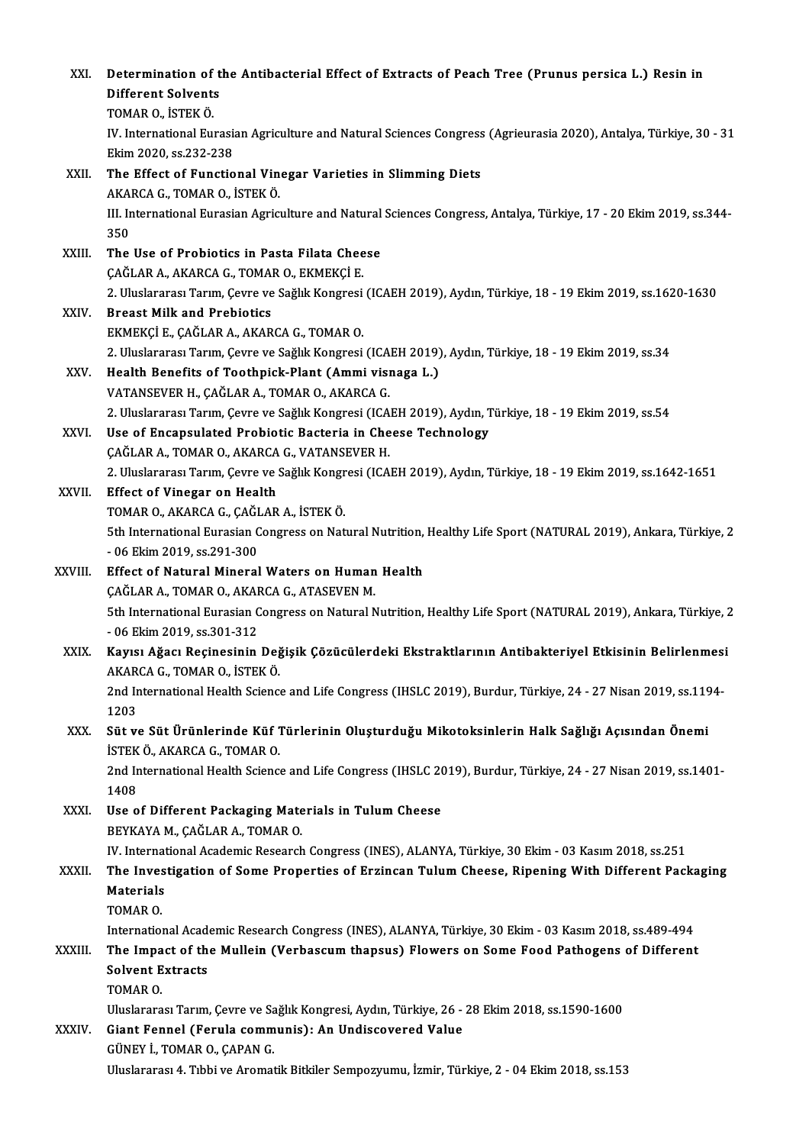| XXI.    | Determination of the Antibacterial Effect of Extracts of Peach Tree (Prunus persica L.) Resin in<br><b>Different Solvents</b> |
|---------|-------------------------------------------------------------------------------------------------------------------------------|
|         | TOMAR O., İSTEK Ö.                                                                                                            |
|         | IV. International Eurasian Agriculture and Natural Sciences Congress (Agrieurasia 2020), Antalya, Türkiye, 30 - 31            |
|         | Ekim 2020, ss 232-238                                                                                                         |
| XXII.   | The Effect of Functional Vinegar Varieties in Slimming Diets                                                                  |
|         | AKARCA G., TOMAR O., İSTEK Ö.                                                                                                 |
|         | III. International Eurasian Agriculture and Natural Sciences Congress, Antalya, Türkiye, 17 - 20 Ekim 2019, ss.344-           |
|         | 350                                                                                                                           |
| XXIII.  | The Use of Probiotics in Pasta Filata Cheese                                                                                  |
|         | ÇAĞLAR A., AKARCA G., TOMAR O., EKMEKÇİ E.                                                                                    |
|         | 2. Uluslararası Tarım, Çevre ve Sağlık Kongresi (ICAEH 2019), Aydın, Türkiye, 18 - 19 Ekim 2019, ss.1620-1630                 |
| XXIV.   | <b>Breast Milk and Prebiotics</b>                                                                                             |
|         | EKMEKÇİ E., ÇAĞLAR A., AKARCA G., TOMAR O.                                                                                    |
|         | 2. Uluslararası Tarım, Çevre ve Sağlık Kongresi (ICAEH 2019), Aydın, Türkiye, 18 - 19 Ekim 2019, ss.34                        |
| XXV.    | Health Benefits of Toothpick-Plant (Ammi visnaga L.)                                                                          |
|         | VATANSEVER H., ÇAĞLAR A., TOMAR O., AKARCA G.                                                                                 |
|         | 2. Uluslararası Tarım, Çevre ve Sağlık Kongresi (ICAEH 2019), Aydın, Türkiye, 18 - 19 Ekim 2019, ss.54                        |
| XXVI.   | Use of Encapsulated Probiotic Bacteria in Cheese Technology                                                                   |
|         | ÇAĞLAR A., TOMAR O., AKARCA G., VATANSEVER H.                                                                                 |
|         | 2. Uluslararası Tarım, Çevre ve Sağlık Kongresi (ICAEH 2019), Aydın, Türkiye, 18 - 19 Ekim 2019, ss.1642-1651                 |
| XXVII.  | <b>Effect of Vinegar on Health</b>                                                                                            |
|         | TOMAR O., AKARCA G., ÇAĞLAR A., İSTEK Ö.                                                                                      |
|         | 5th International Eurasian Congress on Natural Nutrition, Healthy Life Sport (NATURAL 2019), Ankara, Türkiye, 2               |
| XXVIII. | - 06 Ekim 2019, ss 291-300<br>Effect of Natural Mineral Waters on Human Health                                                |
|         | ÇAĞLAR A., TOMAR O., AKARCA G., ATASEVEN M.                                                                                   |
|         | 5th International Eurasian Congress on Natural Nutrition, Healthy Life Sport (NATURAL 2019), Ankara, Türkiye, 2               |
|         | $-06$ Ekim 2019. ss 301-312                                                                                                   |
| XXIX.   | Kayısı Ağacı Reçinesinin Değişik Çözücülerdeki Ekstraktlarının Antibakteriyel Etkisinin Belirlenmesi                          |
|         | AKARCA G., TOMAR O., ISTEK Ö.                                                                                                 |
|         | 2nd International Health Science and Life Congress (IHSLC 2019), Burdur, Türkiye, 24 - 27 Nisan 2019, ss.1194-                |
|         | 1203                                                                                                                          |
| XXX.    | Süt ve Süt Ürünlerinde Küf Türlerinin Oluşturduğu Mikotoksinlerin Halk Sağlığı Açısından Önemi                                |
|         | İSTEK Ö., AKARCA G., TOMAR O.                                                                                                 |
|         | 2nd International Health Science and Life Congress (IHSLC 2019), Burdur, Türkiye, 24 - 27 Nisan 2019, ss.1401-                |
|         | 1408                                                                                                                          |
| XXXI.   | Use of Different Packaging Materials in Tulum Cheese<br>BEYKAYA M., ÇAĞLAR A., TOMAR O.                                       |
|         | IV. International Academic Research Congress (INES), ALANYA, Türkiye, 30 Ekim - 03 Kasım 2018, ss.251                         |
| XXXII.  | The Investigation of Some Properties of Erzincan Tulum Cheese, Ripening With Different Packaging                              |
|         | Materials                                                                                                                     |
|         | TOMAR O                                                                                                                       |
|         | International Academic Research Congress (INES), ALANYA, Türkiye, 30 Ekim - 03 Kasım 2018, ss.489-494                         |
| XXXIII. | The Impact of the Mullein (Verbascum thapsus) Flowers on Some Food Pathogens of Different                                     |
|         | <b>Solvent Extracts</b>                                                                                                       |
|         | TOMAR O.                                                                                                                      |
|         | Uluslararası Tarım, Çevre ve Sağlık Kongresi, Aydın, Türkiye, 26 - 28 Ekim 2018, ss.1590-1600                                 |
| XXXIV.  | Giant Fennel (Ferula communis): An Undiscovered Value                                                                         |
|         | GÜNEY İ., TOMAR O., ÇAPAN G.                                                                                                  |
|         | Uluslararası 4. Tıbbi ve Aromatik Bitkiler Sempozyumu, İzmir, Türkiye, 2 - 04 Ekim 2018, ss.153                               |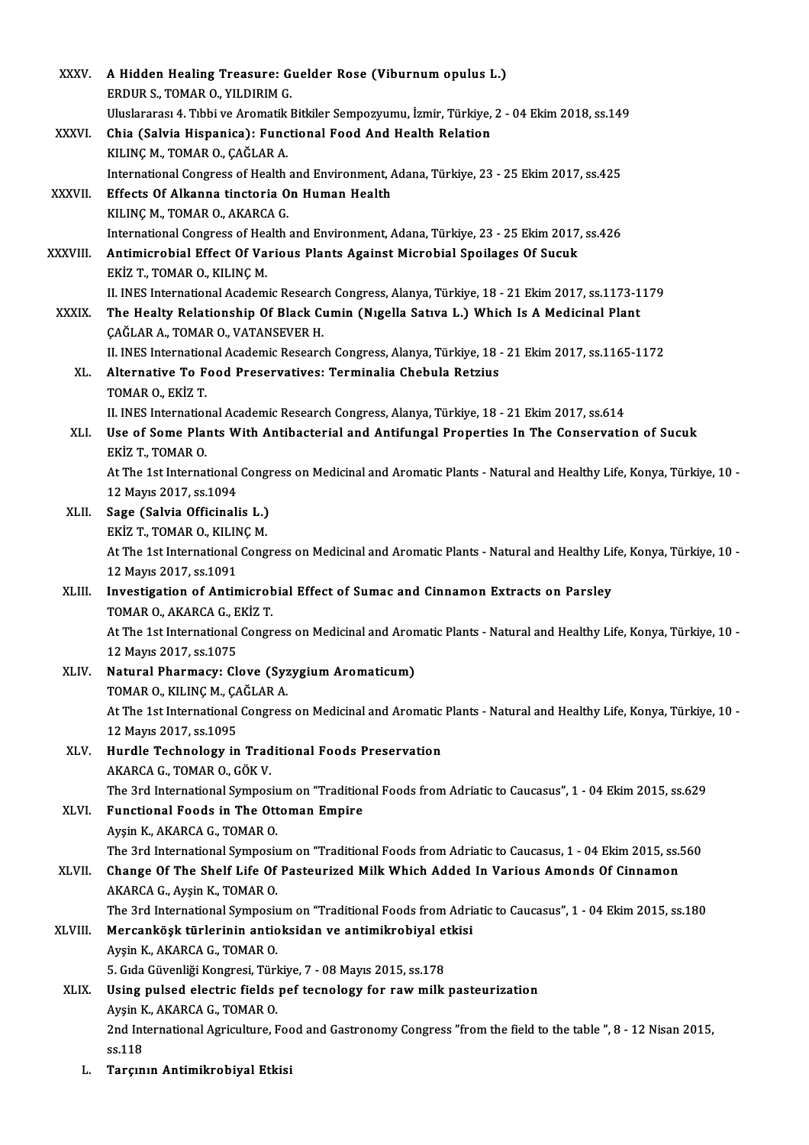| <b>XXXV</b>  | A Hidden Healing Treasure: Guelder Rose (Viburnum opulus L.)                                                                                    |
|--------------|-------------------------------------------------------------------------------------------------------------------------------------------------|
|              | ERDUR S., TOMAR O., YILDIRIM G.                                                                                                                 |
|              | Uluslararası 4. Tıbbi ve Aromatik Bitkiler Sempozyumu, İzmir, Türkiye, 2 - 04 Ekim 2018, ss.149                                                 |
| XXXVI.       | Chia (Salvia Hispanica): Functional Food And Health Relation                                                                                    |
|              | KILINÇ M., TOMAR O., ÇAĞLAR A.                                                                                                                  |
|              | International Congress of Health and Environment, Adana, Türkiye, 23 - 25 Ekim 2017, ss.425                                                     |
| XXXVII.      | Effects Of Alkanna tinctoria On Human Health                                                                                                    |
|              | KILINÇ M., TOMAR O., AKARCA G.                                                                                                                  |
|              | International Congress of Health and Environment, Adana, Türkiye, 23 - 25 Ekim 2017, ss 426                                                     |
| XXXVIII.     | Antimicrobial Effect Of Various Plants Against Microbial Spoilages Of Sucuk                                                                     |
|              | EKİZ T, TOMAR O, KILINÇ M                                                                                                                       |
|              | II. INES International Academic Research Congress, Alanya, Türkiye, 18 - 21 Ekim 2017, ss.1173-1179                                             |
| <b>XXXIX</b> | The Healty Relationship Of Black Cumin (Nigella Sativa L.) Which Is A Medicinal Plant                                                           |
|              | ÇAĞLAR A., TOMAR O., VATANSEVER H.                                                                                                              |
|              | II. INES International Academic Research Congress, Alanya, Türkiye, 18 - 21 Ekim 2017, ss.1165-1172                                             |
| XL.          | Alternative To Food Preservatives: Terminalia Chebula Retzius                                                                                   |
|              | TOMAR O, EKIZ T                                                                                                                                 |
|              | II. INES International Academic Research Congress, Alanya, Türkiye, 18 - 21 Ekim 2017, ss.614                                                   |
| XLI.         | Use of Some Plants With Antibacterial and Antifungal Properties In The Conservation of Sucuk                                                    |
|              | EKİZ T, TOMAR O.                                                                                                                                |
|              | At The 1st International Congress on Medicinal and Aromatic Plants - Natural and Healthy Life, Konya, Türkiye, 10 -                             |
|              | 12 Mayıs 2017, ss.1094                                                                                                                          |
| XLII.        | Sage (Salvia Officinalis L.)                                                                                                                    |
|              | EKİZ T., TOMAR O., KILINÇ M.                                                                                                                    |
|              | At The 1st International Congress on Medicinal and Aromatic Plants - Natural and Healthy Life, Konya, Türkiye, 10 -<br>12 Mayıs 2017, ss 1091   |
| XLIII.       | Investigation of Antimicrobial Effect of Sumac and Cinnamon Extracts on Parsley                                                                 |
|              | TOMAR O., AKARCA G., EKİZ T.                                                                                                                    |
|              | At The 1st International Congress on Medicinal and Aromatic Plants - Natural and Healthy Life, Konya, Türkiye, 10 -                             |
|              | 12 Mayıs 2017, ss 1075                                                                                                                          |
| XLIV.        | Natural Pharmacy: Clove (Syzygium Aromaticum)                                                                                                   |
|              | TOMAR O., KILINÇ M., ÇAĞLAR A.                                                                                                                  |
|              | At The 1st International Congress on Medicinal and Aromatic Plants - Natural and Healthy Life, Konya, Türkiye, 10 -                             |
|              | 12 Mayıs 2017, ss 1095                                                                                                                          |
| XLV.         | Hurdle Technology in Traditional Foods Preservation                                                                                             |
|              | AKARCA G., TOMAR O., GÖK V.                                                                                                                     |
|              | The 3rd International Symposium on "Traditional Foods from Adriatic to Caucasus", 1 - 04 Ekim 2015, ss.629                                      |
| XLVI.        | Functional Foods in The Ottoman Empire                                                                                                          |
|              | Ayşin K, AKARCA G, TOMAR O.                                                                                                                     |
|              | The 3rd International Symposium on "Traditional Foods from Adriatic to Caucasus, 1 - 04 Ekim 2015, ss.560                                       |
| XLVII.       | Change Of The Shelf Life Of Pasteurized Milk Which Added In Various Amonds Of Cinnamon                                                          |
|              | AKARCA G., Ayşin K., TOMAR O.                                                                                                                   |
|              | The 3rd International Symposium on "Traditional Foods from Adriatic to Caucasus", 1 - 04 Ekim 2015, ss.180                                      |
| XLVIII.      | Mercanköşk türlerinin antioksidan ve antimikrobiyal etkisi                                                                                      |
|              | Ayşin K., AKARCA G., TOMAR O.                                                                                                                   |
|              | 5. Gıda Güvenliği Kongresi, Türkiye, 7 - 08 Mayıs 2015, ss 178                                                                                  |
| XLIX.        | Using pulsed electric fields pef tecnology for raw milk pasteurization                                                                          |
|              | Ayşin K., AKARCA G., TOMAR O.<br>2nd International Agriculture, Food and Gastronomy Congress "from the field to the table ", 8 - 12 Nisan 2015, |
|              | ss 118                                                                                                                                          |
| L.           | Tarçının Antimikrobiyal Etkisi                                                                                                                  |
|              |                                                                                                                                                 |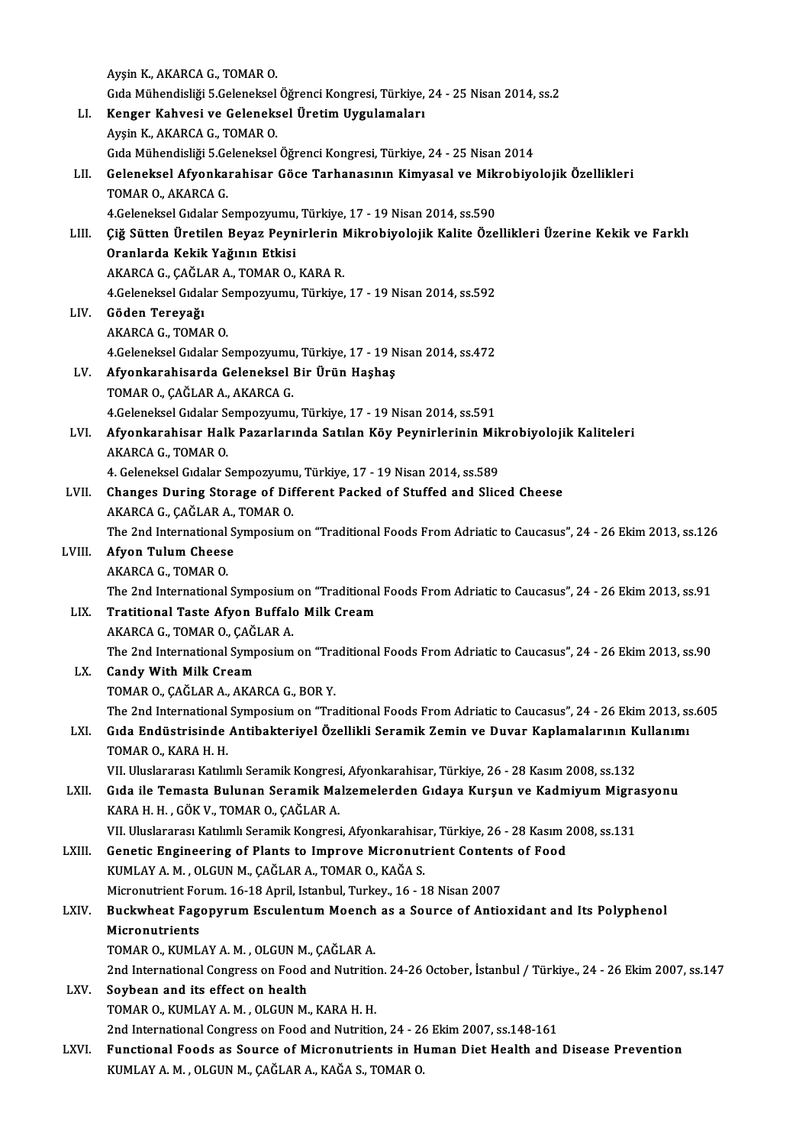|        | Ayşin K., AKARCA G., TOMAR O.                                                                                                                                                |
|--------|------------------------------------------------------------------------------------------------------------------------------------------------------------------------------|
|        | Gıda Mühendisliği 5.Geleneksel Öğrenci Kongresi, Türkiye, 24 - 25 Nisan 2014, ss.2                                                                                           |
| LI.    | Kenger Kahvesi ve Geleneksel Üretim Uygulamaları                                                                                                                             |
|        | Ayşin K., AKARCA G., TOMAR O.                                                                                                                                                |
|        | Gıda Mühendisliği 5.Geleneksel Öğrenci Kongresi, Türkiye, 24 - 25 Nisan 2014                                                                                                 |
| LII.   | Geleneksel Afyonkarahisar Göce Tarhanasının Kimyasal ve Mikrobiyolojik Özellikleri                                                                                           |
|        | TOMAR O., AKARCA G.                                                                                                                                                          |
|        | 4. Geleneksel Gıdalar Sempozyumu, Türkiye, 17 - 19 Nisan 2014, ss. 590                                                                                                       |
| LIII.  | Çiğ Sütten Üretilen Beyaz Peynirlerin Mikrobiyolojik Kalite Özellikleri Üzerine Kekik ve Farklı                                                                              |
|        | Oranlarda Kekik Yağının Etkisi                                                                                                                                               |
|        | AKARCA G., ÇAĞLAR A., TOMAR O., KARA R.                                                                                                                                      |
|        | 4 Geleneksel Gıdalar Sempozyumu, Türkiye, 17 - 19 Nisan 2014, ss 592                                                                                                         |
| LIV.   | Göden Tereyağı                                                                                                                                                               |
|        | AKARCA G., TOMAR O.                                                                                                                                                          |
|        | 4 Geleneksel Gıdalar Sempozyumu, Türkiye, 17 - 19 Nisan 2014, ss 472                                                                                                         |
| LV.    | Afyonkarahisarda Geleneksel Bir Ürün Haşhaş                                                                                                                                  |
|        | TOMAR O., ÇAĞLAR A., AKARCA G.                                                                                                                                               |
|        | 4. Geleneksel Gıdalar Sempozyumu, Türkiye, 17 - 19 Nisan 2014, ss. 591                                                                                                       |
| LVI.   | Afyonkarahisar Halk Pazarlarında Satılan Köy Peynirlerinin Mikrobiyolojik Kaliteleri                                                                                         |
|        | AKARCA G., TOMAR O.                                                                                                                                                          |
|        | 4. Geleneksel Gıdalar Sempozyumu, Türkiye, 17 - 19 Nisan 2014, ss.589                                                                                                        |
| LVII.  | Changes During Storage of Different Packed of Stuffed and Sliced Cheese                                                                                                      |
|        | AKARCA G., ÇAĞLAR A., TOMAR O.                                                                                                                                               |
|        | The 2nd International Symposium on "Traditional Foods From Adriatic to Caucasus", 24 - 26 Ekim 2013, ss.126                                                                  |
| LVIII. | <b>Afyon Tulum Cheese</b>                                                                                                                                                    |
|        | AKARCA G., TOMAR O.                                                                                                                                                          |
|        | The 2nd International Symposium on "Traditional Foods From Adriatic to Caucasus", 24 - 26 Ekim 2013, ss.91                                                                   |
| LIX.   | Tratitional Taste Afyon Buffalo Milk Cream                                                                                                                                   |
|        | AKARCA G., TOMAR O., ÇAĞLAR A.                                                                                                                                               |
|        | The 2nd International Symposium on "Traditional Foods From Adriatic to Caucasus", 24 - 26 Ekim 2013, ss.90                                                                   |
| LX.    | <b>Candy With Milk Cream</b>                                                                                                                                                 |
|        | TOMAR O., ÇAĞLAR A., AKARCA G., BOR Y.                                                                                                                                       |
|        | The 2nd International Symposium on "Traditional Foods From Adriatic to Caucasus", 24 - 26 Ekim 2013, ss.605                                                                  |
| LXI.   | Gıda Endüstrisinde Antibakteriyel Özellikli Seramik Zemin ve Duvar Kaplamalarının Kullanımı                                                                                  |
|        | TOMAR O., KARA H. H.                                                                                                                                                         |
|        | VII. Uluslararası Katılımlı Seramik Kongresi, Afyonkarahisar, Türkiye, 26 - 28 Kasım 2008, ss.132                                                                            |
| LXII.  | Gida ile Temasta Bulunan Seramik Malzemelerden Gidaya Kurşun ve Kadmiyum Migrasyonu                                                                                          |
|        | KARA H. H., GÖK V., TOMAR O., ÇAĞLAR A.                                                                                                                                      |
|        | VII. Uluslararası Katılımlı Seramik Kongresi, Afyonkarahisar, Türkiye, 26 - 28 Kasım 2008, ss.131<br>Genetic Engineering of Plants to Improve Micronutrient Contents of Food |
| LXIII. | KUMLAY A. M., OLGUN M., ÇAĞLAR A., TOMAR O., KAĞA S.                                                                                                                         |
|        | Micronutrient Forum. 16-18 April, Istanbul, Turkey., 16 - 18 Nisan 2007                                                                                                      |
| LXIV.  | Buckwheat Fagopyrum Esculentum Moench as a Source of Antioxidant and Its Polyphenol                                                                                          |
|        | Micronutrients                                                                                                                                                               |
|        | TOMAR O., KUMLAY A. M., OLGUN M., CAĞLAR A.                                                                                                                                  |
|        | 2nd International Congress on Food and Nutrition. 24-26 October, İstanbul / Türkiye., 24 - 26 Ekim 2007, ss.147                                                              |
| LXV.   | Soybean and its effect on health                                                                                                                                             |
|        | TOMAR O., KUMLAY A. M., OLGUN M., KARA H. H.                                                                                                                                 |
|        | 2nd International Congress on Food and Nutrition, 24 - 26 Ekim 2007, ss.148-161                                                                                              |
| LXVI.  | Functional Foods as Source of Micronutrients in Human Diet Health and Disease Prevention                                                                                     |
|        | KUMLAY A. M., OLGUN M., ÇAĞLAR A., KAĞA S., TOMAR O.                                                                                                                         |
|        |                                                                                                                                                                              |